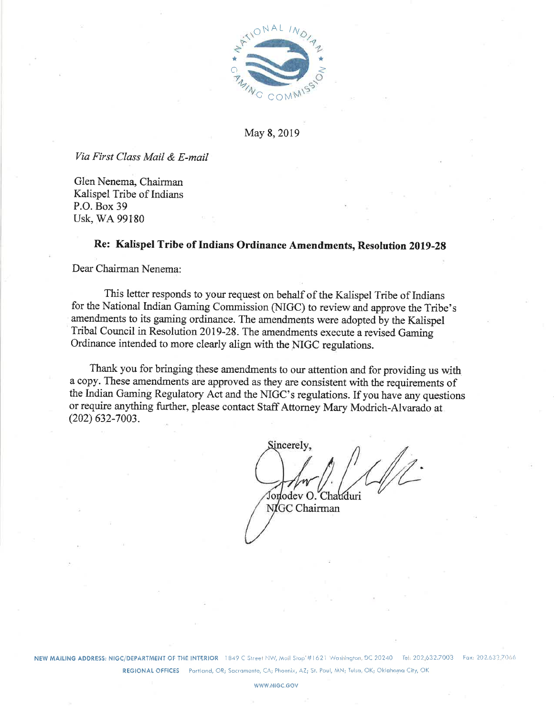

May 8, 2019

Via First Class Mail & E-mail

Glen Nenema, Chairman Kalispel Tribe of Indians P.O. Box 39 Usk, WA 99180

# Re: Kalispel Tribe of Indians Ordinance Amendments, Resolution 2019-28

Dear Chairman Nenema:

This letter responds to your request on behalf of the Kalispel Tribe of Indians for the National Indian Gaming Commission (NIGC) to review and approve the Tribe's amendments to its gaming ordinance. The amendments were adopted by the Kalispel Tribal Council in Resolution 2019-28. The amendments execute a revised Gaming Ordinance intended to more clearly align with the NIGC regulations.

Thank you for bringing these amendments to our attention and for providing us with a copy. These amendments are approved as they are consistent with the requirements of the Indian Gaming Regulatory Act and the NIGC's regulations. If you have any questions or require anything further, please contact Staff Attorney Mary Modrich-Alvarado at  $(202)$  632-7003.

Sincerely, Jonodev O. Charduri

NIGC Chairman

NEW MAILING ADDRESS: NIGC/DEPARTMENT OF THE INTERIOR 1849 C Street NW, Mail Stop #1621 Washington, DC 20240 Tel: 202.632.7003 Fax: 202.632.7066 REGIONAL OFFICES Portland, OR; Sacramento, CA; Phoenix, AZ; St. Paul, MN; Tulsa, OK; Oklahoma City, OK

WWW.NIGC.GOV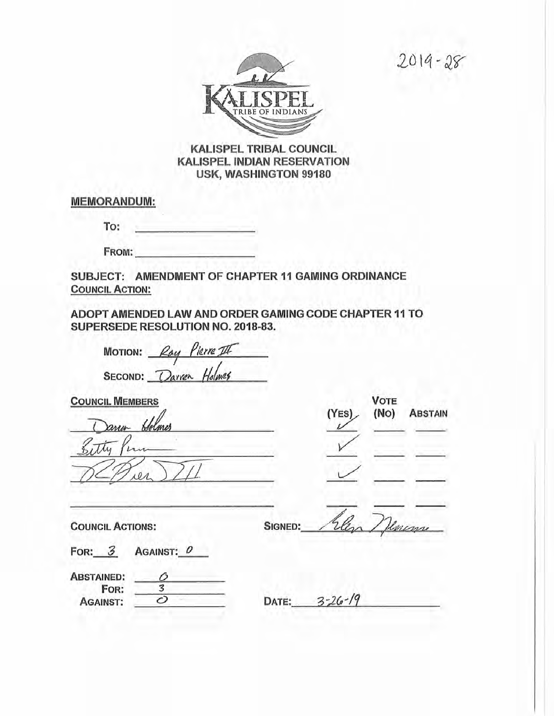$2019 - 28$ 



# **KALISPEL TRIBAL COUNCIL KALISPEL INDIAN RESERVATION** USK, WASHINGTON 99180

**MEMORANDUM:** 

To:

FROM:

SUBJECT: AMENDMENT OF CHAPTER 11 GAMING ORDINANCE **COUNCIL ACTION:** 

ADOPT AMENDED LAW AND ORDER GAMING CODE CHAPTER 11 TO SUPERSEDE RESOLUTION NO. 2018-83.

| MOTION: Ray Pierre III |  |
|------------------------|--|
| SECOND: Darren Holmes  |  |

**COUNCIL MEMBERS** Holmes anen  $101$ 

 $(NO)$ (YES) **ABSTAIN** 

**VOTE** 

**COUNCIL ACTIONS:** 

| SIGNED: | Elena / Jenemy |  |
|---------|----------------|--|

FOR: 3 AGAINST: 0

| <b>ABSTAINED:</b> |  |
|-------------------|--|
| FOR:              |  |
| <b>AGAINST:</b>   |  |

DATE:  $3-26-19$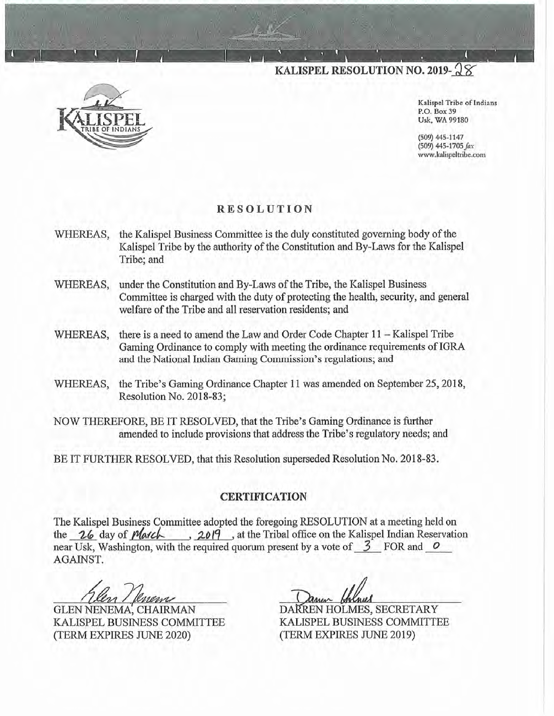KALISPEL RESOLUTION NO. 2019- $28$ 



Kalispel Tribe of Indians P.O. Box 39 Usk, WA 99180

(509) 445-1147 (509) 445-1705 fax www.kalispeltribe.com

# **RESOLUTION**

- WHEREAS, the Kalispel Business Committee is the duly constituted governing body of the Kalispel Tribe by the authority of the Constitution and By-Laws for the Kalispel Tribe; and
- under the Constitution and By-Laws of the Tribe, the Kalispel Business WHEREAS, Committee is charged with the duty of protecting the health, security, and general welfare of the Tribe and all reservation residents; and
- there is a need to amend the Law and Order Code Chapter  $11 -$ Kalispel Tribe WHEREAS, Gaming Ordinance to comply with meeting the ordinance requirements of IGRA and the National Indian Gaming Commission's regulations; and
- WHEREAS, the Tribe's Gaming Ordinance Chapter 11 was amended on September 25, 2018, Resolution No. 2018-83;
- NOW THEREFORE, BE IT RESOLVED, that the Tribe's Gaming Ordinance is further amended to include provisions that address the Tribe's regulatory needs; and

BE IT FURTHER RESOLVED, that this Resolution superseded Resolution No. 2018-83.

#### **CERTIFICATION**

The Kalispel Business Committee adopted the foregoing RESOLUTION at a meeting held on the 26 day of *March*, 2019, at the Tribal office on the Kalispel Indian Reservation near Usk, Washington, with the required quorum present by a vote of  $\overline{3}$  FOR and  $\overline{0}$ AGAINST.

**GLEN NENEMA, CHAIRMAN** KALISPEL BUSINESS COMMITTEE (TERM EXPIRES JUNE 2020)

DARREN HOLMES, SECRETARY KALISPEL BUSINESS COMMITTEE (TERM EXPIRES JUNE 2019)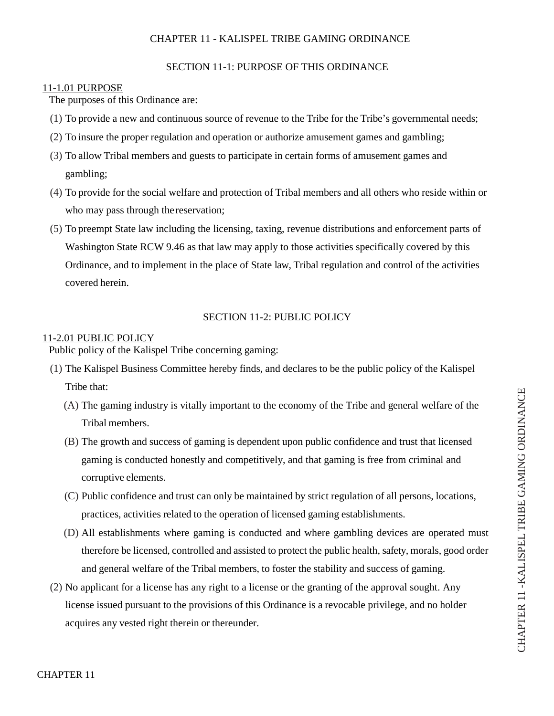# CHAPTER 11 - KALISPEL TRIBE GAMING ORDINANCE

#### SECTION 11-1: PURPOSE OF THIS ORDINANCE

#### 11-1.01 PURPOSE

The purposes of this Ordinance are:

- (1) To provide a new and continuous source of revenue to the Tribe for the Tribe's governmental needs;
- (2) To insure the proper regulation and operation or authorize amusement games and gambling;
- (3) To allow Tribal members and guests to participate in certain forms of amusement games and gambling;
- (4) To provide for the social welfare and protection of Tribal members and all others who reside within or who may pass through the reservation;
- (5) To preempt State law including the licensing, taxing, revenue distributions and enforcement parts of Washington State RCW 9.46 as that law may apply to those activities specifically covered by this Ordinance, and to implement in the place of State law, Tribal regulation and control of the activities covered herein.

#### SECTION 11-2: PUBLIC POLICY

### 11-2.01 PUBLIC POLICY

Public policy of the Kalispel Tribe concerning gaming:

- (1) The Kalispel Business Committee hereby finds, and declares to be the public policy of the Kalispel Tribe that:
	- (A) The gaming industry is vitally important to the economy of the Tribe and general welfare of the Tribal members.
	- (B) The growth and success of gaming is dependent upon public confidence and trust that licensed gaming is conducted honestly and competitively, and that gaming is free from criminal and corruptive elements.
	- (C) Public confidence and trust can only be maintained by strict regulation of all persons, locations, practices, activities related to the operation of licensed gaming establishments.
	- (D) All establishments where gaming is conducted and where gambling devices are operated must therefore be licensed, controlled and assisted to protect the public health, safety, morals, good order and general welfare of the Tribal members, to foster the stability and success of gaming.
- (2) No applicant for a license has any right to a license or the granting of the approval sought. Any license issued pursuant to the provisions of this Ordinance is a revocable privilege, and no holder acquires any vested right therein or thereunder.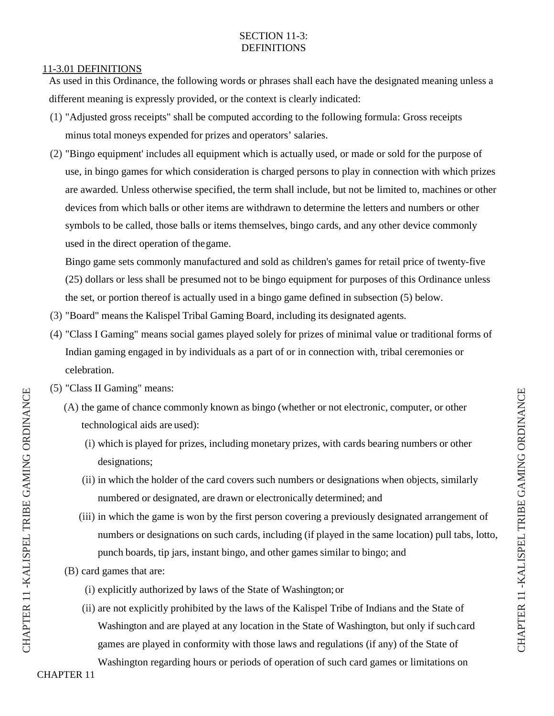# SECTION 11-3: DEFINITIONS

#### 11-3.01 DEFINITIONS

As used in this Ordinance, the following words or phrases shall each have the designated meaning unless a different meaning is expressly provided, or the context is clearly indicated:

- (1) "Adjusted gross receipts" shall be computed according to the following formula: Gross receipts minus total moneys expended for prizes and operators' salaries.
- (2) "Bingo equipment' includes all equipment which is actually used, or made or sold for the purpose of use, in bingo games for which consideration is charged persons to play in connection with which prizes are awarded. Unless otherwise specified, the term shall include, but not be limited to, machines or other devices from which balls or other items are withdrawn to determine the letters and numbers or other symbols to be called, those balls or items themselves, bingo cards, and any other device commonly used in the direct operation of the game.

Bingo game sets commonly manufactured and sold as children's games for retail price of twenty-five (25) dollars or less shall be presumed not to be bingo equipment for purposes of this Ordinance unless the set, or portion thereof is actually used in a bingo game defined in subsection (5) below.

- (3) "Board" means the Kalispel Tribal Gaming Board, including its designated agents.
- (4) "Class I Gaming" means social games played solely for prizes of minimal value or traditional forms of Indian gaming engaged in by individuals as a part of or in connection with, tribal ceremonies or celebration.
- (5) "Class II Gaming" means:
	- (A) the game of chance commonly known as bingo (whether or not electronic, computer, or other technological aids are used):
		- (i) which is played for prizes, including monetary prizes, with cards bearing numbers or other designations;
		- (ii) in which the holder of the card covers such numbers or designations when objects, similarly numbered or designated, are drawn or electronically determined; and
		- (iii) in which the game is won by the first person covering a previously designated arrangement of numbers or designations on such cards, including (if played in the same location) pull tabs, lotto, punch boards, tip jars, instant bingo, and other games similar to bingo; and
	- (B) card games that are:
		- (i) explicitly authorized by laws of the State of Washington;or
		- (ii) are not explicitly prohibited by the laws of the Kalispel Tribe of Indians and the State of Washington and are played at any location in the State of Washington, but only if such card games are played in conformity with those laws and regulations (if any) of the State of

Washington regarding hours or periods of operation of such card games or limitations on

CHAP TER

R 11 -KA

LIS PEL

L TRIBE

GAMI  $\mathsf{Z}$ ロ

ORDINANCE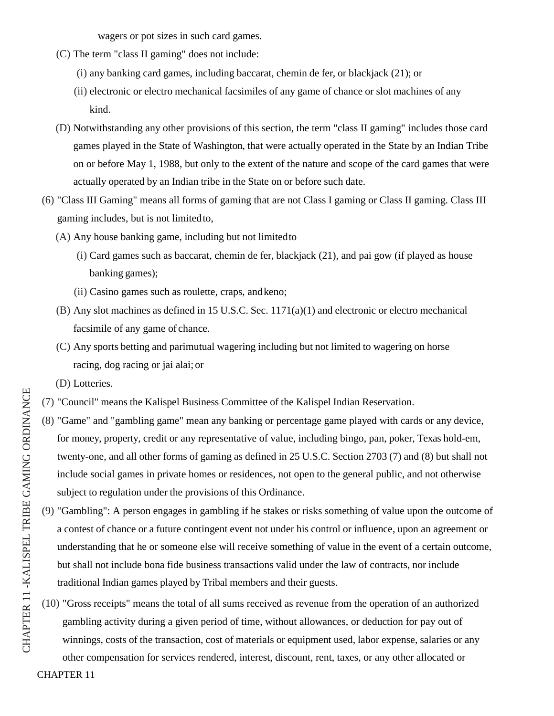wagers or pot sizes in such card games.

- (C) The term "class II gaming" does not include:
	- (i) any banking card games, including baccarat, chemin de fer, or blackjack (21); or
	- (ii) electronic or electro mechanical facsimiles of any game of chance or slot machines of any kind.
- (D) Notwithstanding any other provisions of this section, the term "class II gaming" includes those card games played in the State of Washington, that were actually operated in the State by an Indian Tribe on or before May 1, 1988, but only to the extent of the nature and scope of the card games that were actually operated by an Indian tribe in the State on or before such date.
- (6) "Class III Gaming" means all forms of gaming that are not Class I gaming or Class II gaming. Class III gaming includes, but is not limited to,
	- (A) Any house banking game, including but not limited to
		- (i) Card games such as baccarat, chemin de fer, blackjack (21), and pai gow (if played as house banking games);
		- (ii) Casino games such as roulette, craps, and keno;
	- (B) Any slot machines as defined in 15 U.S.C. Sec. 1171(a)(1) and electronic or electro mechanical facsimile of any game of chance.
	- (C) Any sports betting and parimutual wagering including but not limited to wagering on horse racing, dog racing or jai alai; or
	- (D) Lotteries.
- (7) "Council" means the Kalispel Business Committee of the Kalispel Indian Reservation.
- (8) "Game" and "gambling game" mean any banking or percentage game played with cards or any device, for money, property, credit or any representative of value, including bingo, pan, poker, Texas hold-em, twenty-one, and all other forms of gaming as defined in 25 U.S.C. Section 2703 (7) and (8) but shall not include social games in private homes or residences, not open to the general public, and not otherwise subject to regulation under the provisions of this Ordinance.
- (9) "Gambling": A person engages in gambling if he stakes or risks something of value upon the outcome of a contest of chance or a future contingent event not under his control or influence, upon an agreement or understanding that he or someone else will receive something of value in the event of a certain outcome, but shall not include bona fide business transactions valid under the law of contracts, nor include traditional Indian games played by Tribal members and their guests.
- (10) "Gross receipts" means the total of all sums received as revenue from the operation of an authorized gambling activity during a given period of time, without allowances, or deduction for pay out of winnings, costs of the transaction, cost of materials or equipment used, labor expense, salaries or any

other compensation for services rendered, interest, discount, rent, taxes, or any other allocated or

CHAPTER 11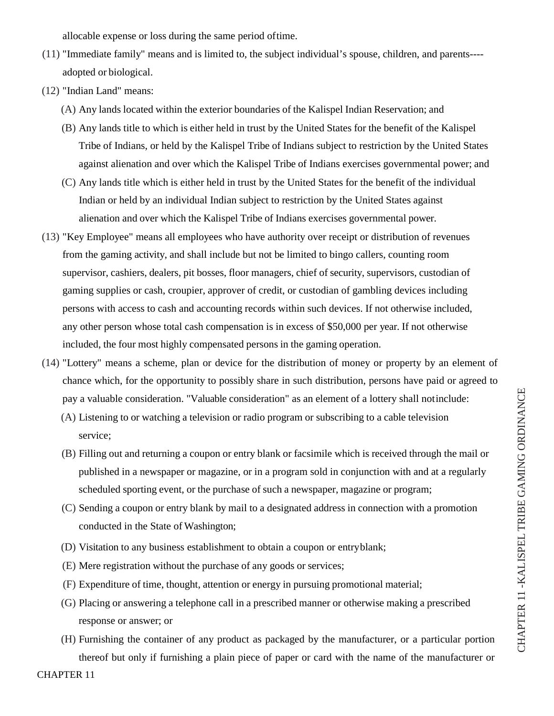allocable expense or loss during the same period of time.

- (11) "Immediate family" means and is limited to, the subject individual's spouse, children, and parents--- adopted or biological.
- (12) "Indian Land" means:
	- (A) Any lands located within the exterior boundaries of the Kalispel Indian Reservation; and
	- (B) Any lands title to which is either held in trust by the United States for the benefit of the Kalispel Tribe of Indians, or held by the Kalispel Tribe of Indians subject to restriction by the United States against alienation and over which the Kalispel Tribe of Indians exercises governmental power; and
	- (C) Any lands title which is either held in trust by the United States for the benefit of the individual Indian or held by an individual Indian subject to restriction by the United States against alienation and over which the Kalispel Tribe of Indians exercises governmental power.
- (13) "Key Employee" means all employees who have authority over receipt or distribution of revenues from the gaming activity, and shall include but not be limited to bingo callers, counting room supervisor, cashiers, dealers, pit bosses, floor managers, chief of security, supervisors, custodian of gaming supplies or cash, croupier, approver of credit, or custodian of gambling devices including persons with access to cash and accounting records within such devices. If not otherwise included, any other person whose total cash compensation is in excess of \$50,000 per year. If not otherwise included, the four most highly compensated persons in the gaming operation.
- (14) "Lottery" means a scheme, plan or device for the distribution of money or property by an element of chance which, for the opportunity to possibly share in such distribution, persons have paid or agreed to pay a valuable consideration. "Valuable consideration" as an element of a lottery shall not include:
	- (A) Listening to or watching a television or radio program or subscribing to a cable television service;
	- (B) Filling out and returning a coupon or entry blank or facsimile which is received through the mail or published in a newspaper or magazine, or in a program sold in conjunction with and at a regularly scheduled sporting event, or the purchase of such a newspaper, magazine or program;
	- (C) Sending a coupon or entry blank by mail to a designated address in connection with a promotion conducted in the State of Washington;
	- (D) Visitation to any business establishment to obtain a coupon or entry blank;
	- (E) Mere registration without the purchase of any goods or services;
	- (F) Expenditure of time, thought, attention or energy in pursuing promotional material;
	- (G) Placing or answering a telephone call in a prescribed manner or otherwise making a prescribed response or answer; or
	- (H) Furnishing the container of any product as packaged by the manufacturer, or a particular portion thereof but only if furnishing a plain piece of paper or card with the name of the manufacturer or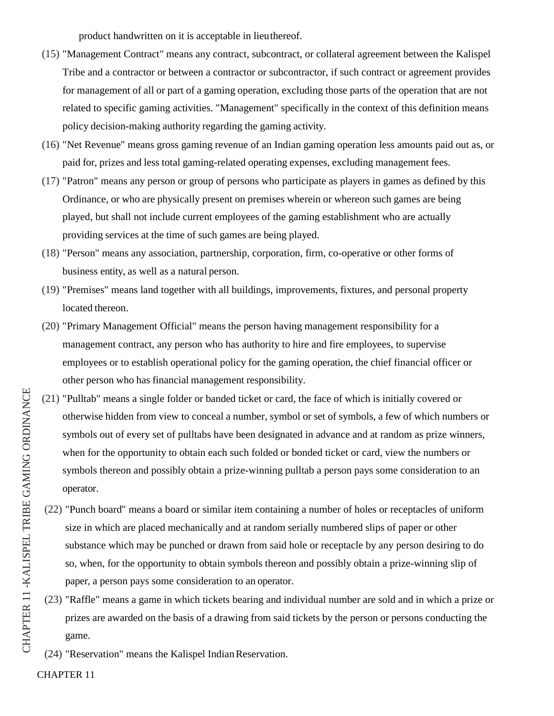product handwritten on it is acceptable in lieu thereof.

- (15) "Management Contract" means any contract, subcontract, or collateral agreement between the Kalispel Tribe and a contractor or between a contractor or subcontractor, if such contract or agreement provides for management of all or part of a gaming operation, excluding those parts of the operation that are not related to specific gaming activities. "Management" specifically in the context of this definition means policy decision-making authority regarding the gaming activity.
- (16) "Net Revenue" means gross gaming revenue of an Indian gaming operation less amounts paid out as, or paid for, prizes and less total gaming-related operating expenses, excluding management fees.
- (17) "Patron" means any person or group of persons who participate as players in games as defined by this Ordinance, or who are physically present on premises wherein or whereon such games are being played, but shall not include current employees of the gaming establishment who are actually providing services at the time of such games are being played.
- (18) "Person" means any association, partnership, corporation, firm, co-operative or other forms of business entity, as well as a natural person.
- (19) "Premises" means land together with all buildings, improvements, fixtures, and personal property located thereon.
- (20) "Primary Management Official" means the person having management responsibility for a management contract, any person who has authority to hire and fire employees, to supervise employees or to establish operational policy for the gaming operation, the chief financial officer or other person who has financial management responsibility.
- (21) "Pulltab" means a single folder or banded ticket or card, the face of which is initially covered or otherwise hidden from view to conceal a number, symbol or set of symbols, a few of which numbers or symbols out of every set of pulltabs have been designated in advance and at random as prize winners, when for the opportunity to obtain each such folded or bonded ticket or card, view the numbers or symbols thereon and possibly obtain a prize-winning pulltab a person pays some consideration to an operator.
- (22) "Punch board" means a board or similar item containing a number of holes or receptacles of uniform size in which are placed mechanically and at random serially numbered slips of paper or other substance which may be punched or drawn from said hole or receptacle by any person desiring to do so, when, for the opportunity to obtain symbols thereon and possibly obtain a prize-winning slip of paper, a person pays some consideration to an operator.
- (23) "Raffle" means a game in which tickets bearing and individual number are sold and in which a prize or prizes are awarded on the basis of a drawing from said tickets by the person or persons conducting the game.
- $(24)$  "Reservation" means the Kalispel Indian Reservation.

CHAPTER 11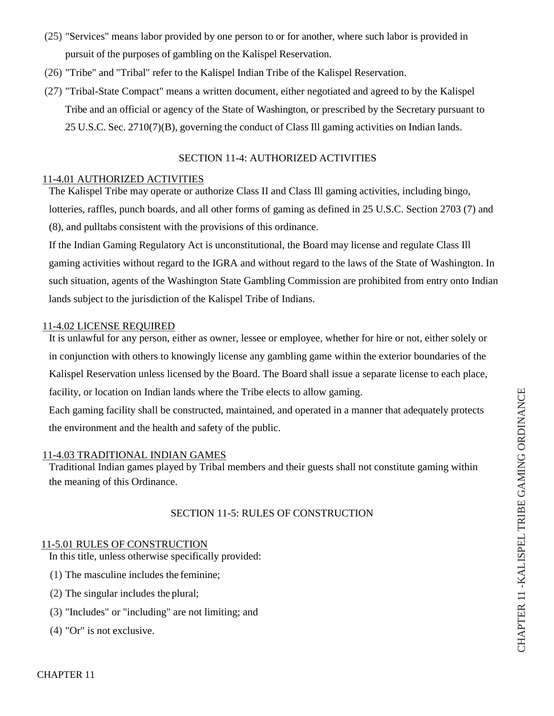- (25) "Services" means labor provided by one person to or for another, where such labor is provided in pursuit of the purposes of gambling on the Kalispel Reservation.
- (26) "Tribe" and "Tribal" refer to the Kalispel Indian Tribe of the Kalispel Reservation.
- (27) "Tribal-State Compact" means a written document, either negotiated and agreed to by the Kalispel Tribe and an official or agency of the State of Washington, or prescribed by the Secretary pursuant to 25 U.S.C. Sec. 2710(7)(B), governing the conduct of Class Ill gaming activities on Indian lands.

# SECTION 11-4: AUTHORIZED ACTIVITIES

# 11-4.01 AUTHORIZED ACTIVITIES

The Kalispel Tribe may operate or authorize Class II and Class Ill gaming activities, including bingo, lotteries, raffles, punch boards, and all other forms of gaming as defined in 25 U.S.C. Section 2703 (7) and (8), and pulltabs consistent with the provisions of this ordinance.

If the Indian Gaming Regulatory Act is unconstitutional, the Board may license and regulate Class Ill gaming activities without regard to the IGRA and without regard to the laws of the State of Washington. In such situation, agents of the Washington State Gambling Commission are prohibited from entry onto Indian lands subject to the jurisdiction of the Kalispel Tribe of Indians.

### 11-4.02 LICENSE REQUIRED

It is unlawful for any person, either as owner, lessee or employee, whether for hire or not, either solely or in conjunction with others to knowingly license any gambling game within the exterior boundaries of the Kalispel Reservation unless licensed by the Board. The Board shall issue a separate license to each place, facility, or location on Indian lands where the Tribe elects to allow gaming.

Each gaming facility shall be constructed, maintained, and operated in a manner that adequately protects the environment and the health and safety of the public.

#### 11-4.03 TRADITIONAL INDIAN GAMES

Traditional Indian games played by Tribal members and their guests shall not constitute gaming within the meaning of this Ordinance.

#### SECTION 11-5: RULES OF CONSTRUCTION

#### 11-5.01 RULES OF CONSTRUCTION

In this title, unless otherwise specifically provided:

- (1) The masculine includes the feminine;
- (2) The singular includes the plural;
- (3) "Includes" or "including" are not limiting; and
- (4) "Or" is not exclusive.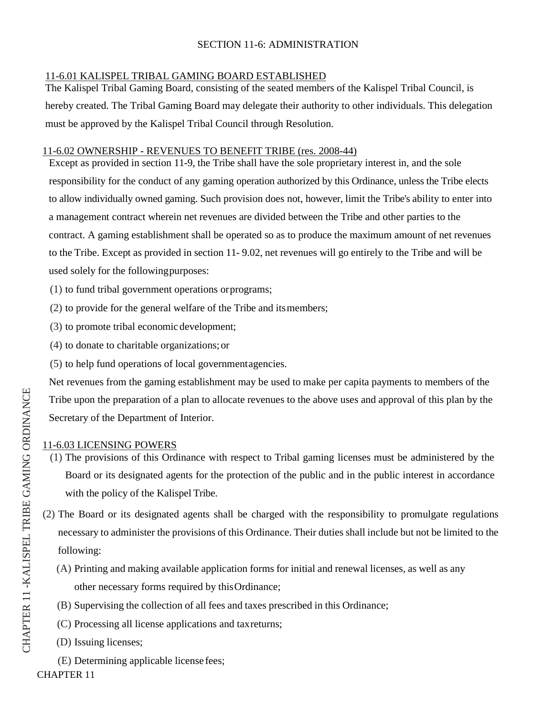# SECTION 11-6: ADMINISTRATION

# 11-6.01 KALISPEL TRIBAL GAMING BOARD ESTABLISHED

The Kalispel Tribal Gaming Board, consisting of the seated members of the Kalispel Tribal Council, is hereby created. The Tribal Gaming Board may delegate their authority to other individuals. This delegation must be approved by the Kalispel Tribal Council through Resolution.

# 11-6.02 OWNERSHIP - REVENUES TO BENEFIT TRIBE (res. 2008-44)

Except as provided in section 11-9, the Tribe shall have the sole proprietary interest in, and the sole responsibility for the conduct of any gaming operation authorized by this Ordinance, unless the Tribe elects to allow individually owned gaming. Such provision does not, however, limit the Tribe's ability to enter into a management contract wherein net revenues are divided between the Tribe and other parties to the contract. A gaming establishment shall be operated so as to produce the maximum amount of net revenues to the Tribe. Except as provided in section 11- 9.02, net revenues will go entirely to the Tribe and will be used solely for the following purposes:

- (1) to fund tribal government operations or programs;
- (2) to provide for the general welfare of the Tribe and its members;
- (3) to promote tribal economic development;
- (4) to donate to charitable organizations; or
- (5) to help fund operations of local government agencies.

Net revenues from the gaming establishment may be used to make per capita payments to members of the Tribe upon the preparation of a plan to allocate revenues to the above uses and approval of this plan by the Secretary of the Department of Interior.

# 11-6.03 LICENSING POWERS

- (1) The provisions of this Ordinance with respect to Tribal gaming licenses must be administered by the Board or its designated agents for the protection of the public and in the public interest in accordance with the policy of the Kalispel Tribe.
- (2) The Board or its designated agents shall be charged with the responsibility to promulgate regulations necessary to administer the provisions of this Ordinance. Their duties shall include but not be limited to the following:
	- (A) Printing and making available application forms for initial and renewal licenses, as well as any other necessary forms required by this Ordinance;
	- (B) Supervising the collection of all fees and taxes prescribed in this Ordinance;
	- (C) Processing all license applications and tax returns;
	- (D) Issuing licenses;
- CHAPTER 11 (E) Determining applicable license fees;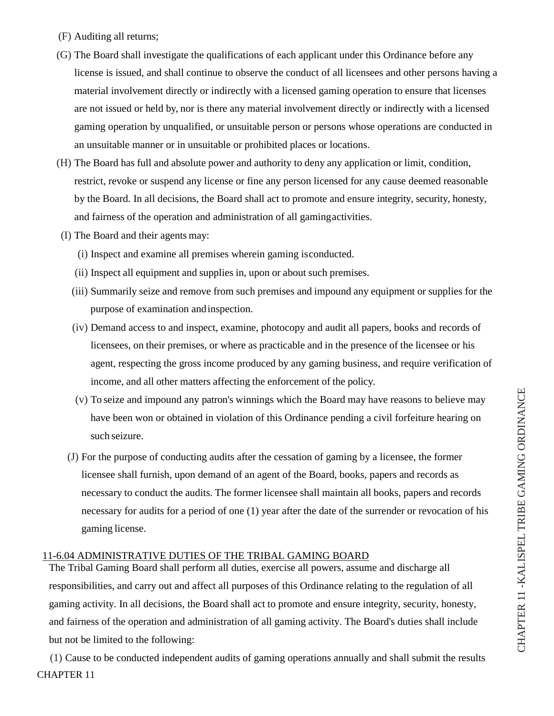- (F) Auditing all returns;
- (G) The Board shall investigate the qualifications of each applicant under this Ordinance before any license is issued, and shall continue to observe the conduct of all licensees and other persons having a material involvement directly or indirectly with a licensed gaming operation to ensure that licenses are not issued or held by, nor is there any material involvement directly or indirectly with a licensed gaming operation by unqualified, or unsuitable person or persons whose operations are conducted in an unsuitable manner or in unsuitable or prohibited places or locations.
- (H) The Board has full and absolute power and authority to deny any application or limit, condition, restrict, revoke or suspend any license or fine any person licensed for any cause deemed reasonable by the Board. In all decisions, the Board shall act to promote and ensure integrity, security, honesty, and fairness of the operation and administration of all gaming activities.
- (I) The Board and their agents may:
	- (i) Inspect and examine all premises wherein gaming is conducted.
	- (ii) Inspect all equipment and supplies in, upon or about such premises.
	- (iii) Summarily seize and remove from such premises and impound any equipment or supplies for the purpose of examination and inspection.
	- (iv) Demand access to and inspect, examine, photocopy and audit all papers, books and records of licensees, on their premises, or where as practicable and in the presence of the licensee or his agent, respecting the gross income produced by any gaming business, and require verification of income, and all other matters affecting the enforcement of the policy.
	- (v) To seize and impound any patron's winnings which the Board may have reasons to believe may have been won or obtained in violation of this Ordinance pending a civil forfeiture hearing on such seizure.
	- (J) For the purpose of conducting audits after the cessation of gaming by a licensee, the former licensee shall furnish, upon demand of an agent of the Board, books, papers and records as necessary to conduct the audits. The former licensee shall maintain all books, papers and records necessary for audits for a period of one (1) year after the date of the surrender or revocation of his gaming license.

# 11-6.04 ADMINISTRATIVE DUTIES OF THE TRIBAL GAMING BOARD

The Tribal Gaming Board shall perform all duties, exercise all powers, assume and discharge all responsibilities, and carry out and affect all purposes of this Ordinance relating to the regulation of all gaming activity. In all decisions, the Board shall act to promote and ensure integrity, security, honesty, and fairness of the operation and administration of all gaming activity. The Board's duties shall include but not be limited to the following:

CHAPTER 11 (1) Cause to be conducted independent audits of gaming operations annually and shall submit the results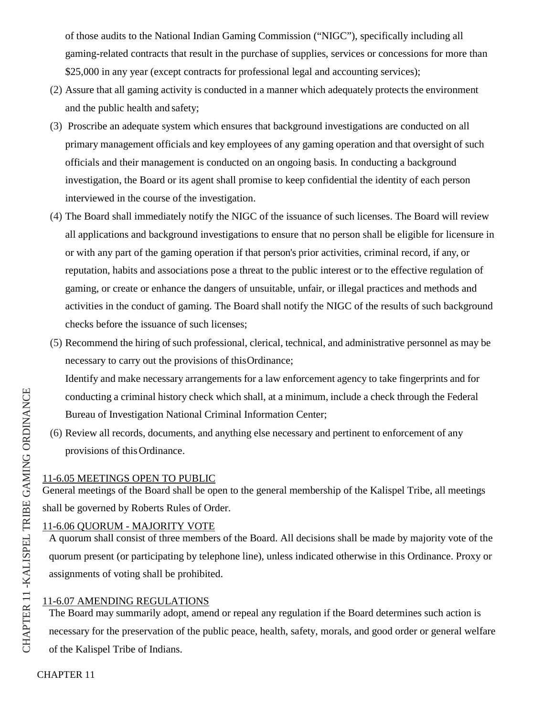of those audits to the National Indian Gaming Commission ("NIGC"), specifically including all gaming-related contracts that result in the purchase of supplies, services or concessions for more than \$25,000 in any year (except contracts for professional legal and accounting services);

- (2) Assure that all gaming activity is conducted in a manner which adequately protects the environment and the public health and safety;
- (3) Proscribe an adequate system which ensures that background investigations are conducted on all primary management officials and key employees of any gaming operation and that oversight of such officials and their management is conducted on an ongoing basis. In conducting a background investigation, the Board or its agent shall promise to keep confidential the identity of each person interviewed in the course of the investigation.
- (4) The Board shall immediately notify the NIGC of the issuance of such licenses. The Board will review all applications and background investigations to ensure that no person shall be eligible for licensure in or with any part of the gaming operation if that person's prior activities, criminal record, if any, or reputation, habits and associations pose a threat to the public interest or to the effective regulation of gaming, or create or enhance the dangers of unsuitable, unfair, or illegal practices and methods and activities in the conduct of gaming. The Board shall notify the NIGC of the results of such background checks before the issuance of such licenses;
- (5) Recommend the hiring of such professional, clerical, technical, and administrative personnel as may be necessary to carry out the provisions of this Ordinance;

Identify and make necessary arrangements for a law enforcement agency to take fingerprints and for conducting a criminal history check which shall, at a minimum, include a check through the Federal Bureau of Investigation National Criminal Information Center;

(6) Review all records, documents, and anything else necessary and pertinent to enforcement of any provisions of this Ordinance.

# 11-6.05 MEETINGS OPEN TO PUBLIC

General meetings of the Board shall be open to the general membership of the Kalispel Tribe, all meetings shall be governed by Roberts Rules of Order.

# 11-6.06 QUORUM - MAJORITY VOTE

A quorum shall consist of three members of the Board. All decisions shall be made by majority vote of the quorum present (or participating by telephone line), unless indicated otherwise in this Ordinance. Proxy or assignments of voting shall be prohibited.

# 11-6.07 AMENDING REGULATIONS

The Board may summarily adopt, amend or repeal any regulation if the Board determines such action is necessary for the preservation of the public peace, health, safety, morals, and good order or general welfare of the Kalispel Tribe of Indians.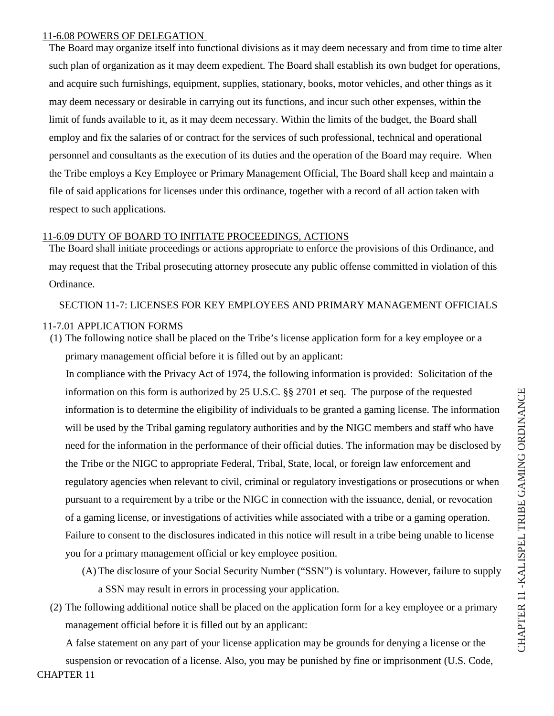### 11-6.08 POWERS OF DELEGATION

The Board may organize itself into functional divisions as it may deem necessary and from time to time alter such plan of organization as it may deem expedient. The Board shall establish its own budget for operations, and acquire such furnishings, equipment, supplies, stationary, books, motor vehicles, and other things as it may deem necessary or desirable in carrying out its functions, and incur such other expenses, within the limit of funds available to it, as it may deem necessary. Within the limits of the budget, the Board shall employ and fix the salaries of or contract for the services of such professional, technical and operational personnel and consultants as the execution of its duties and the operation of the Board may require. When the Tribe employs a Key Employee or Primary Management Official, The Board shall keep and maintain a file of said applications for licenses under this ordinance, together with a record of all action taken with respect to such applications.

# 11-6.09 DUTY OF BOARD TO INITIATE PROCEEDINGS, ACTIONS

The Board shall initiate proceedings or actions appropriate to enforce the provisions of this Ordinance, and may request that the Tribal prosecuting attorney prosecute any public offense committed in violation of this Ordinance.

# SECTION 11-7: LICENSES FOR KEY EMPLOYEES AND PRIMARY MANAGEMENT OFFICIALS 11-7.01 APPLICATION FORMS

(1) The following notice shall be placed on the Tribe's license application form for a key employee or a primary management official before it is filled out by an applicant:

In compliance with the Privacy Act of 1974, the following information is provided: Solicitation of the information on this form is authorized by 25 U.S.C. §§ 2701 et seq. The purpose of the requested information is to determine the eligibility of individuals to be granted a gaming license. The information will be used by the Tribal gaming regulatory authorities and by the NIGC members and staff who have need for the information in the performance of their official duties. The information may be disclosed by the Tribe or the NIGC to appropriate Federal, Tribal, State, local, or foreign law enforcement and regulatory agencies when relevant to civil, criminal or regulatory investigations or prosecutions or when pursuant to a requirement by a tribe or the NIGC in connection with the issuance, denial, or revocation of a gaming license, or investigations of activities while associated with a tribe or a gaming operation. Failure to consent to the disclosures indicated in this notice will result in a tribe being unable to license you for a primary management official or key employee position.

- (A) The disclosure of your Social Security Number ("SSN") is voluntary. However, failure to supply a SSN may result in errors in processing your application.
- (2) The following additional notice shall be placed on the application form for a key employee or a primary management official before it is filled out by an applicant:

A false statement on any part of your license application may be grounds for denying a license or the

CHAPTER 11 suspension or revocation of a license. Also, you may be punished by fine or imprisonment (U.S. Code,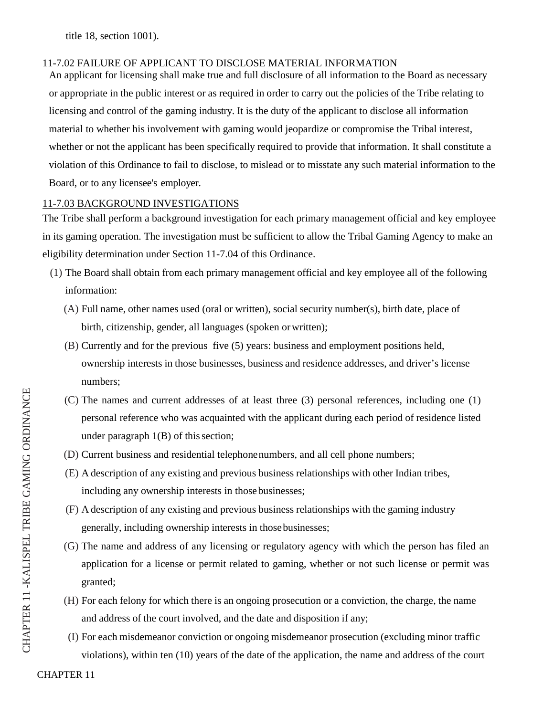title 18, section 1001).

# 11-7.02 FAILURE OF APPLICANT TO DISCLOSE MATERIAL INFORMATION

An applicant for licensing shall make true and full disclosure of all information to the Board as necessary or appropriate in the public interest or as required in order to carry out the policies of the Tribe relating to licensing and control of the gaming industry. It is the duty of the applicant to disclose all information material to whether his involvement with gaming would jeopardize or compromise the Tribal interest, whether or not the applicant has been specifically required to provide that information. It shall constitute a violation of this Ordinance to fail to disclose, to mislead or to misstate any such material information to the Board, or to any licensee's employer.

# 11-7.03 BACKGROUND INVESTIGATIONS

The Tribe shall perform a background investigation for each primary management official and key employee in its gaming operation. The investigation must be sufficient to allow the Tribal Gaming Agency to make an eligibility determination under Section 11-7.04 of this Ordinance.

- (1) The Board shall obtain from each primary management official and key employee all of the following information:
	- (A) Full name, other names used (oral or written), social security number(s), birth date, place of birth, citizenship, gender, all languages (spoken or written);
	- (B) Currently and for the previous five (5) years: business and employment positions held, ownership interests in those businesses, business and residence addresses, and driver's license numbers;
	- (C) The names and current addresses of at least three (3) personal references, including one (1) personal reference who was acquainted with the applicant during each period of residence listed under paragraph 1(B) of this section;
	- (D) Current business and residential telephone numbers, and all cell phone numbers;
	- (E) A description of any existing and previous business relationships with other Indian tribes, including any ownership interests in those businesses;
	- (F) A description of any existing and previous business relationships with the gaming industry generally, including ownership interests in those businesses;
	- (G) The name and address of any licensing or regulatory agency with which the person has filed an application for a license or permit related to gaming, whether or not such license or permit was granted;
	- (H) For each felony for which there is an ongoing prosecution or a conviction, the charge, the name and address of the court involved, and the date and disposition if any;
	- (I) For each misdemeanor conviction or ongoing misdemeanor prosecution (excluding minor traffic violations), within ten  $(10)$  years of the date of the application, the name and address of the court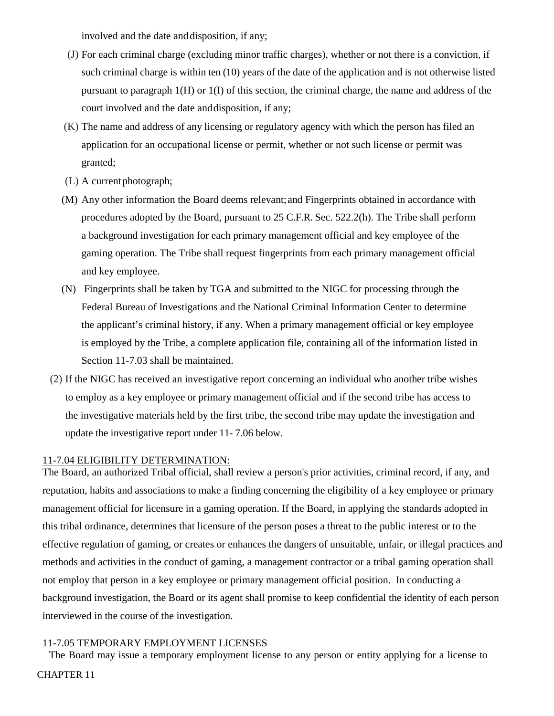involved and the date and disposition, if any;

- (J) For each criminal charge (excluding minor traffic charges), whether or not there is a conviction, if such criminal charge is within ten (10) years of the date of the application and is not otherwise listed pursuant to paragraph 1(H) or 1(I) of this section, the criminal charge, the name and address of the court involved and the date and disposition, if any;
- (K) The name and address of any licensing or regulatory agency with which the person has filed an application for an occupational license or permit, whether or not such license or permit was granted;
- (L) A current photograph;
- (M) Any other information the Board deems relevant; and Fingerprints obtained in accordance with procedures adopted by the Board, pursuant to 25 C.F.R. Sec. 522.2(h). The Tribe shall perform a background investigation for each primary management official and key employee of the gaming operation. The Tribe shall request fingerprints from each primary management official and key employee.
- (N) Fingerprints shall be taken by TGA and submitted to the NIGC for processing through the Federal Bureau of Investigations and the National Criminal Information Center to determine the applicant's criminal history, if any. When a primary management official or key employee is employed by the Tribe, a complete application file, containing all of the information listed in Section 11-7.03 shall be maintained.
- (2) If the NIGC has received an investigative report concerning an individual who another tribe wishes to employ as a key employee or primary management official and if the second tribe has access to the investigative materials held by the first tribe, the second tribe may update the investigation and update the investigative report under 11- 7.06 below.

# 11-7.04 ELIGIBILITY DETERMINATION:

The Board, an authorized Tribal official, shall review a person's prior activities, criminal record, if any, and reputation, habits and associations to make a finding concerning the eligibility of a key employee or primary management official for licensure in a gaming operation. If the Board, in applying the standards adopted in this tribal ordinance, determines that licensure of the person poses a threat to the public interest or to the effective regulation of gaming, or creates or enhances the dangers of unsuitable, unfair, or illegal practices and methods and activities in the conduct of gaming, a management contractor or a tribal gaming operation shall not employ that person in a key employee or primary management official position. In conducting a background investigation, the Board or its agent shall promise to keep confidential the identity of each person interviewed in the course of the investigation.

# 11-7.05 TEMPORARY EMPLOYMENT LICENSES

The Board may issue a temporary employment license to any person or entity applying for a license to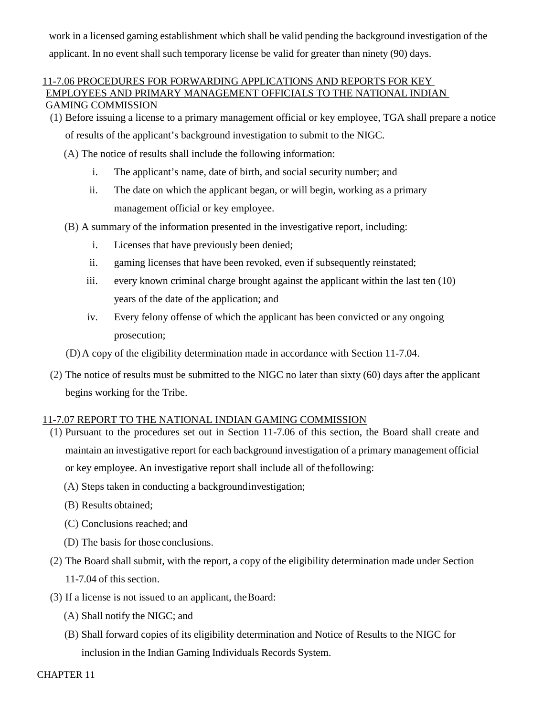work in a licensed gaming establishment which shall be valid pending the background investigation of the applicant. In no event shall such temporary license be valid for greater than ninety (90) days.

### 11-7.06 PROCEDURES FOR FORWARDING APPLICATIONS AND REPORTS FOR KEY EMPLOYEES AND PRIMARY MANAGEMENT OFFICIALS TO THE NATIONAL INDIAN GAMING COMMISSION

(1) Before issuing a license to a primary management official or key employee, TGA shall prepare a notice

of results of the applicant's background investigation to submit to the NIGC.

- (A) The notice of results shall include the following information:
	- i. The applicant's name, date of birth, and social security number; and
	- ii. The date on which the applicant began, or will begin, working as a primary management official or key employee.
- (B) A summary of the information presented in the investigative report, including:
	- i. Licenses that have previously been denied;
	- ii. gaming licenses that have been revoked, even if subsequently reinstated;
	- iii. every known criminal charge brought against the applicant within the last ten (10) years of the date of the application; and
	- iv. Every felony offense of which the applicant has been convicted or any ongoing prosecution;
- (D) A copy of the eligibility determination made in accordance with Section 11-7.04.
- (2) The notice of results must be submitted to the NIGC no later than sixty (60) days after the applicant begins working for the Tribe.

# 11-7.07 REPORT TO THE NATIONAL INDIAN GAMING COMMISSION

- (1) Pursuant to the procedures set out in Section 11-7.06 of this section, the Board shall create and maintain an investigative report for each background investigation of a primary management official or key employee. An investigative report shall include all of the following:
	- (A) Steps taken in conducting a background investigation;
	- (B) Results obtained;
	- (C) Conclusions reached; and
	- (D) The basis for those conclusions.
- (2) The Board shall submit, with the report, a copy of the eligibility determination made under Section 11-7.04 of this section.
- (3) If a license is not issued to an applicant, the Board:
	- (A) Shall notify the NIGC; and
	- (B) Shall forward copies of its eligibility determination and Notice of Results to the NIGC for inclusion in the Indian Gaming Individuals Records System.

CHAPTER 11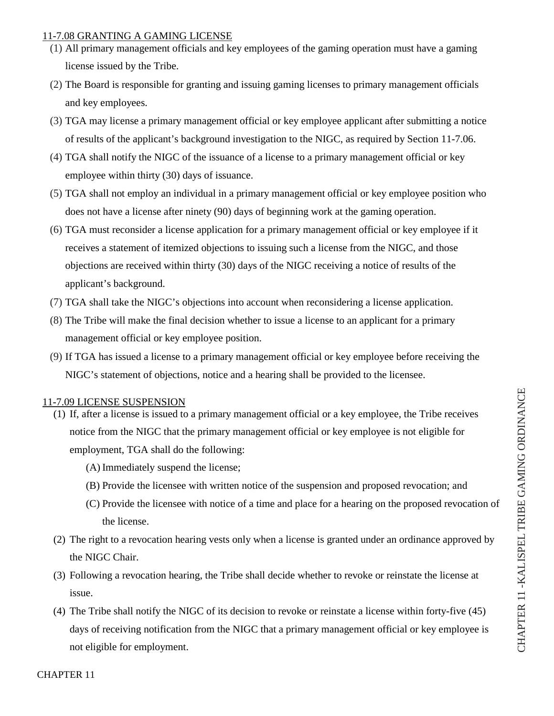# 11-7.08 GRANTING A GAMING LICENSE

- (1) All primary management officials and key employees of the gaming operation must have a gaming license issued by the Tribe.
- (2) The Board is responsible for granting and issuing gaming licenses to primary management officials and key employees.
- (3) TGA may license a primary management official or key employee applicant after submitting a notice of results of the applicant's background investigation to the NIGC, as required by Section 11-7.06.
- (4) TGA shall notify the NIGC of the issuance of a license to a primary management official or key employee within thirty (30) days of issuance.
- (5) TGA shall not employ an individual in a primary management official or key employee position who does not have a license after ninety (90) days of beginning work at the gaming operation.
- (6) TGA must reconsider a license application for a primary management official or key employee if it receives a statement of itemized objections to issuing such a license from the NIGC, and those objections are received within thirty (30) days of the NIGC receiving a notice of results of the applicant's background.
- (7) TGA shall take the NIGC's objections into account when reconsidering a license application.
- (8) The Tribe will make the final decision whether to issue a license to an applicant for a primary management official or key employee position.
- (9) If TGA has issued a license to a primary management official or key employee before receiving the NIGC's statement of objections, notice and a hearing shall be provided to the licensee.

# 11-7.09 LICENSE SUSPENSION

- (1) If, after a license is issued to a primary management official or a key employee, the Tribe receives notice from the NIGC that the primary management official or key employee is not eligible for employment, TGA shall do the following:
	- (A) Immediately suspend the license;
	- (B) Provide the licensee with written notice of the suspension and proposed revocation; and
	- (C) Provide the licensee with notice of a time and place for a hearing on the proposed revocation of the license.
- (2) The right to a revocation hearing vests only when a license is granted under an ordinance approved by the NIGC Chair.
- (3) Following a revocation hearing, the Tribe shall decide whether to revoke or reinstate the license at issue.
- (4) The Tribe shall notify the NIGC of its decision to revoke or reinstate a license within forty-five (45) days of receiving notification from the NIGC that a primary management official or key employee is  $\frac{1}{C}$ <br>not eligible for employment.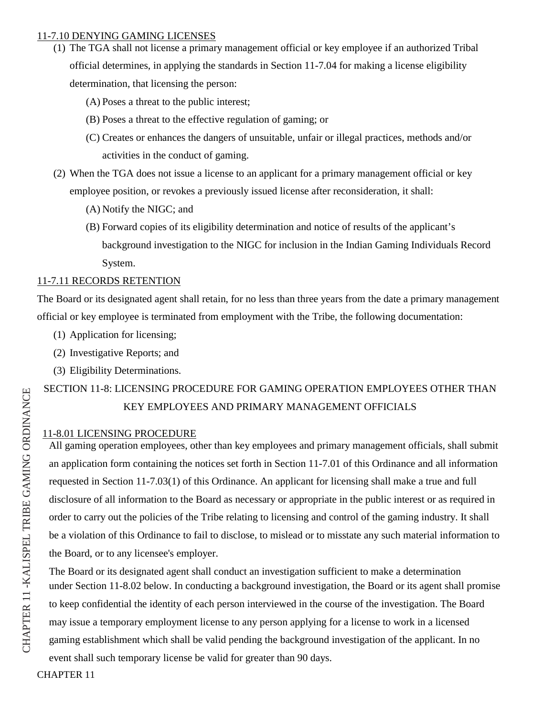#### 11-7.10 DENYING GAMING LICENSES

- (1) The TGA shall not license a primary management official or key employee if an authorized Tribal official determines, in applying the standards in Section 11-7.04 for making a license eligibility determination, that licensing the person:
	- (A) Poses a threat to the public interest;
	- (B) Poses a threat to the effective regulation of gaming; or
	- (C) Creates or enhances the dangers of unsuitable, unfair or illegal practices, methods and/or activities in the conduct of gaming.
- (2) When the TGA does not issue a license to an applicant for a primary management official or key employee position, or revokes a previously issued license after reconsideration, it shall:
	- (A) Notify the NIGC; and
	- (B) Forward copies of its eligibility determination and notice of results of the applicant's background investigation to the NIGC for inclusion in the Indian Gaming Individuals Record System.

# 11-7.11 RECORDS RETENTION

The Board or its designated agent shall retain, for no less than three years from the date a primary management official or key employee is terminated from employment with the Tribe, the following documentation:

- (1) Application for licensing;
- (2) Investigative Reports; and
- (3) Eligibility Determinations.

# SECTION 11-8: LICENSING PROCEDURE FOR GAMING OPERATION EMPLOYEES OTHER THAN KEY EMPLOYEES AND PRIMARY MANAGEMENT OFFICIALS

# 11-8.01 LICENSING PROCEDURE

All gaming operation employees, other than key employees and primary management officials, shall submit an application form containing the notices set forth in Section 11-7.01 of this Ordinance and all information requested in Section 11-7.03(1) of this Ordinance. An applicant for licensing shall make a true and full disclosure of all information to the Board as necessary or appropriate in the public interest or as required in order to carry out the policies of the Tribe relating to licensing and control of the gaming industry. It shall be a violation of this Ordinance to fail to disclose, to mislead or to misstate any such material information to the Board, or to any licensee's employer.

The Board or its designated agent shall conduct an investigation sufficient to make a determination under Section 11-8.02 below. In conducting a background investigation, the Board or its agent shall promise to keep confidential the identity of each person interviewed in the course of the investigation. The Board may issue a temporary employment license to any person applying for a license to work in a licensed gaming establishment which shall be valid pending the background investigation of the applicant. In no event shall such temporary license be valid for greater than 90 days.

CHAPTER 11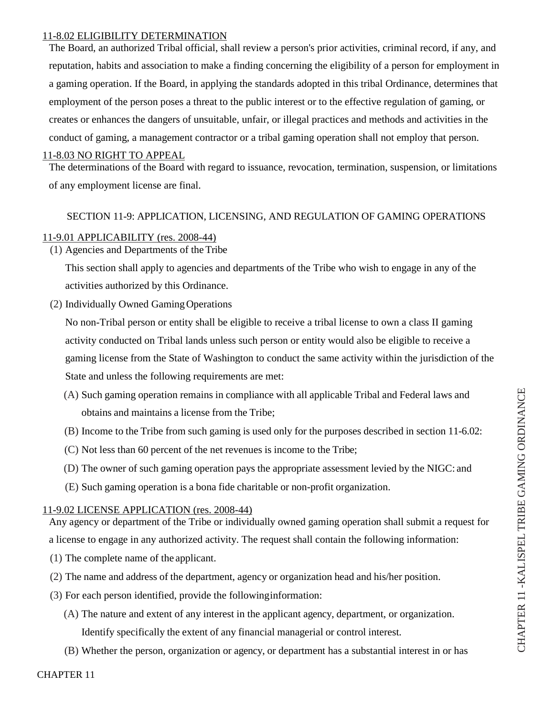### 11-8.02 ELIGIBILITY DETERMINATION

The Board, an authorized Tribal official, shall review a person's prior activities, criminal record, if any, and reputation, habits and association to make a finding concerning the eligibility of a person for employment in a gaming operation. If the Board, in applying the standards adopted in this tribal Ordinance, determines that employment of the person poses a threat to the public interest or to the effective regulation of gaming, or creates or enhances the dangers of unsuitable, unfair, or illegal practices and methods and activities in the conduct of gaming, a management contractor or a tribal gaming operation shall not employ that person.

# 11-8.03 NO RIGHT TO APPEAL

The determinations of the Board with regard to issuance, revocation, termination, suspension, or limitations of any employment license are final.

# SECTION 11-9: APPLICATION, LICENSING, AND REGULATION OF GAMING OPERATIONS

# 11-9.01 APPLICABILITY (res. 2008-44)

(1) Agencies and Departments of theTribe

This section shall apply to agencies and departments of the Tribe who wish to engage in any of the activities authorized by this Ordinance.

(2) Individually Owned Gaming Operations

No non-Tribal person or entity shall be eligible to receive a tribal license to own a class II gaming activity conducted on Tribal lands unless such person or entity would also be eligible to receive a gaming license from the State of Washington to conduct the same activity within the jurisdiction of the State and unless the following requirements are met:

- (A) Such gaming operation remains in compliance with all applicable Tribal and Federal laws and obtains and maintains a license from the Tribe;
- (B) Income to the Tribe from such gaming is used only for the purposes described in section 11-6.02:
- (C) Not less than 60 percent of the net revenues is income to the Tribe;
- (D) The owner of such gaming operation pays the appropriate assessment levied by the NIGC: and
- (E) Such gaming operation is a bona fide charitable or non-profit organization.

# 11-9.02 LICENSE APPLICATION (res. 2008-44)

Any agency or department of the Tribe or individually owned gaming operation shall submit a request for a license to engage in any authorized activity. The request shall contain the following information:

- (1) The complete name of the applicant.
- (2) The name and address of the department, agency or organization head and his/her position.
- (3) For each person identified, provide the following information:
	- (A) The nature and extent of any interest in the applicant agency, department, or organization. Identify specifically the extent of any financial managerial or control interest.
	- (B) Whether the person, organization or agency, or department has a substantial interest in or has

CHAPTER 11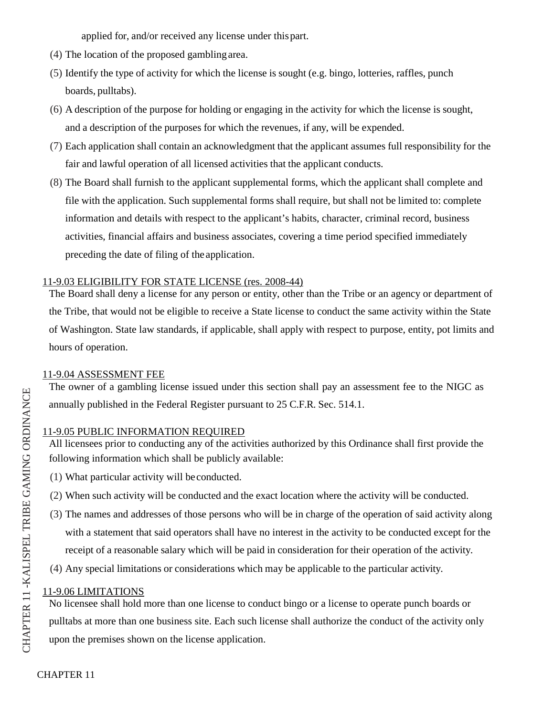applied for, and/or received any license under this part.

- (4) The location of the proposed gambling area.
- (5) Identify the type of activity for which the license is sought (e.g. bingo, lotteries, raffles, punch boards, pulltabs).
- (6) A description of the purpose for holding or engaging in the activity for which the license is sought, and a description of the purposes for which the revenues, if any, will be expended.
- (7) Each application shall contain an acknowledgment that the applicant assumes full responsibility for the fair and lawful operation of all licensed activities that the applicant conducts.
- (8) The Board shall furnish to the applicant supplemental forms, which the applicant shall complete and file with the application. Such supplemental forms shall require, but shall not be limited to: complete information and details with respect to the applicant's habits, character, criminal record, business activities, financial affairs and business associates, covering a time period specified immediately preceding the date of filing of the application.

# 11-9.03 ELIGIBILITY FOR STATE LICENSE (res. 2008-44)

The Board shall deny a license for any person or entity, other than the Tribe or an agency or department of the Tribe, that would not be eligible to receive a State license to conduct the same activity within the State of Washington. State law standards, if applicable, shall apply with respect to purpose, entity, pot limits and hours of operation.

# 11-9.04 ASSESSMENT FEE

The owner of a gambling license issued under this section shall pay an assessment fee to the NIGC as annually published in the Federal Register pursuant to 25 C.F.R. Sec. 514.1.

# 11-9.05 PUBLIC INFORMATION REQUIRED

All licensees prior to conducting any of the activities authorized by this Ordinance shall first provide the following information which shall be publicly available:

- (1) What particular activity will be conducted.
- (2) When such activity will be conducted and the exact location where the activity will be conducted.
- (3) The names and addresses of those persons who will be in charge of the operation of said activity along with a statement that said operators shall have no interest in the activity to be conducted except for the receipt of a reasonable salary which will be paid in consideration for their operation of the activity.
- (4) Any special limitations or considerations which may be applicable to the particular activity.

# 11-9.06 LIMITATIONS

No licensee shall hold more than one license to conduct bingo or a license to operate punch boards or pulltabs at more than one business site. Each such license shall authorize the conduct of the activity only upon the premises shown on the license application.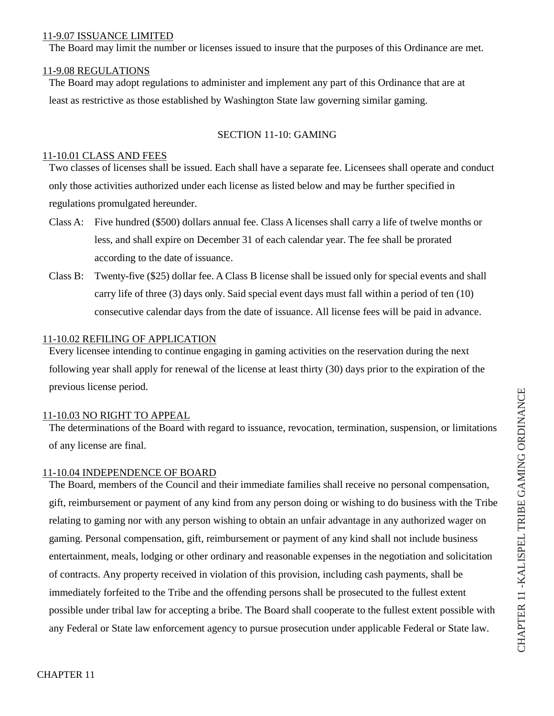#### 11-9.07 ISSUANCE LIMITED

The Board may limit the number or licenses issued to insure that the purposes of this Ordinance are met.

### 11-9.08 REGULATIONS

The Board may adopt regulations to administer and implement any part of this Ordinance that are at least as restrictive as those established by Washington State law governing similar gaming.

# SECTION 11-10: GAMING

#### 11-10.01 CLASS AND FEES

Two classes of licenses shall be issued. Each shall have a separate fee. Licensees shall operate and conduct only those activities authorized under each license as listed below and may be further specified in regulations promulgated hereunder.

- Class A: Five hundred (\$500) dollars annual fee. Class A licenses shall carry a life of twelve months or less, and shall expire on December 31 of each calendar year. The fee shall be prorated according to the date of issuance.
- Class B: Twenty-five (\$25) dollar fee. A Class B license shall be issued only for special events and shall carry life of three (3) days only. Said special event days must fall within a period of ten (10) consecutive calendar days from the date of issuance. All license fees will be paid in advance.

# 11-10.02 REFILING OF APPLICATION

Every licensee intending to continue engaging in gaming activities on the reservation during the next following year shall apply for renewal of the license at least thirty (30) days prior to the expiration of the previous license period.

# 11-10.03 NO RIGHT TO APPEAL

The determinations of the Board with regard to issuance, revocation, termination, suspension, or limitations of any license are final.

# 11-10.04 INDEPENDENCE OF BOARD

The Board, members of the Council and their immediate families shall receive no personal compensation, gift, reimbursement or payment of any kind from any person doing or wishing to do business with the Tribe relating to gaming nor with any person wishing to obtain an unfair advantage in any authorized wager on gaming. Personal compensation, gift, reimbursement or payment of any kind shall not include business entertainment, meals, lodging or other ordinary and reasonable expenses in the negotiation and solicitation of contracts. Any property received in violation of this provision, including cash payments, shall be immediately forfeited to the Tribe and the offending persons shall be prosecuted to the fullest extent possible under tribal law for accepting a bribe. The Board shall cooperate to the fullest extent possible with any Federal or State law enforcement agency to pursue prosecution under applicable Federal or State law.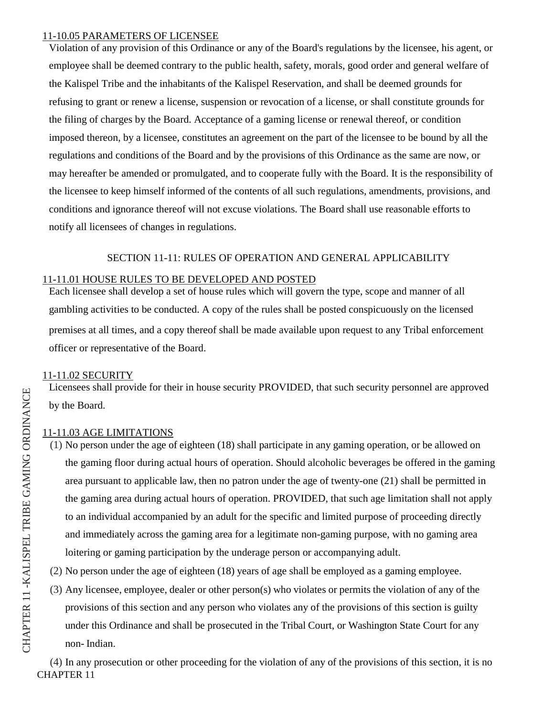#### 11-10.05 PARAMETERS OF LICENSEE

Violation of any provision of this Ordinance or any of the Board's regulations by the licensee, his agent, or employee shall be deemed contrary to the public health, safety, morals, good order and general welfare of the Kalispel Tribe and the inhabitants of the Kalispel Reservation, and shall be deemed grounds for refusing to grant or renew a license, suspension or revocation of a license, or shall constitute grounds for the filing of charges by the Board. Acceptance of a gaming license or renewal thereof, or condition imposed thereon, by a licensee, constitutes an agreement on the part of the licensee to be bound by all the regulations and conditions of the Board and by the provisions of this Ordinance as the same are now, or may hereafter be amended or promulgated, and to cooperate fully with the Board. It is the responsibility of the licensee to keep himself informed of the contents of all such regulations, amendments, provisions, and conditions and ignorance thereof will not excuse violations. The Board shall use reasonable efforts to notify all licensees of changes in regulations.

# SECTION 11-11: RULES OF OPERATION AND GENERAL APPLICABILITY

# 11-11.01 HOUSE RULES TO BE DEVELOPED AND POSTED

Each licensee shall develop a set of house rules which will govern the type, scope and manner of all gambling activities to be conducted. A copy of the rules shall be posted conspicuously on the licensed premises at all times, and a copy thereof shall be made available upon request to any Tribal enforcement officer or representative of the Board.

# 11-11.02 SECURITY

Licensees shall provide for their in house security PROVIDED, that such security personnel are approved by the Board.

# 11-11.03 AGE LIMITATIONS

- (1) No person under the age of eighteen (18) shall participate in any gaming operation, or be allowed on the gaming floor during actual hours of operation. Should alcoholic beverages be offered in the gaming area pursuant to applicable law, then no patron under the age of twenty-one (21) shall be permitted in the gaming area during actual hours of operation. PROVIDED, that such age limitation shall not apply to an individual accompanied by an adult for the specific and limited purpose of proceeding directly and immediately across the gaming area for a legitimate non-gaming purpose, with no gaming area loitering or gaming participation by the underage person or accompanying adult.
- (2) No person under the age of eighteen (18) years of age shall be employed as a gaming employee.
- (3) Any licensee, employee, dealer or other person(s) who violates or permits the violation of any of the provisions of this section and any person who violates any of the provisions of this section is guilty under this Ordinance and shall be prosecuted in the Tribal Court, or Washington State Court for any non- Indian.

CHAPTER 11 (4) In any prosecution or other proceeding for the violation of any of the provisions of this section, it is no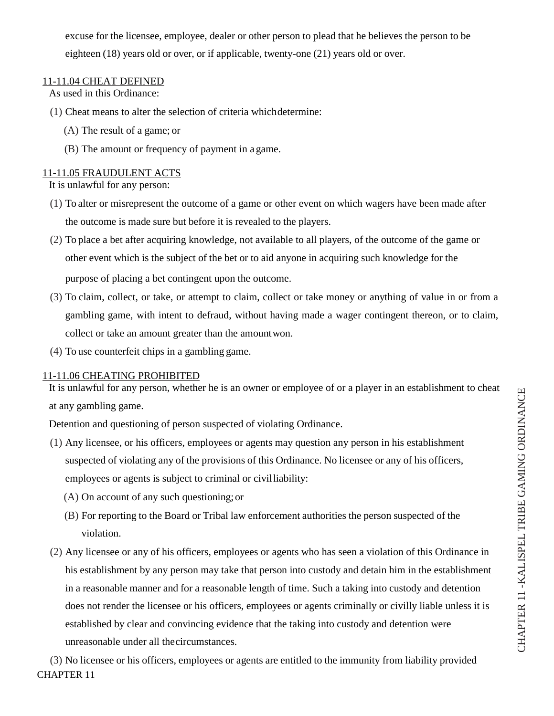excuse for the licensee, employee, dealer or other person to plead that he believes the person to be eighteen (18) years old or over, or if applicable, twenty-one (21) years old or over.

# 11-11.04 CHEAT DEFINED

As used in this Ordinance:

- (1) Cheat means to alter the selection of criteria whichdetermine:
	- (A) The result of a game; or
	- (B) The amount or frequency of payment in a game.

# 11-11.05 FRAUDULENT ACTS

It is unlawful for any person:

- (1) To alter or misrepresent the outcome of a game or other event on which wagers have been made after the outcome is made sure but before it is revealed to the players.
- (2) To place a bet after acquiring knowledge, not available to all players, of the outcome of the game or other event which is the subject of the bet or to aid anyone in acquiring such knowledge for the purpose of placing a bet contingent upon the outcome.
- (3) To claim, collect, or take, or attempt to claim, collect or take money or anything of value in or from a gambling game, with intent to defraud, without having made a wager contingent thereon, or to claim, collect or take an amount greater than the amount won.
- (4) To use counterfeit chips in a gambling game.

# 11-11.06 CHEATING PROHIBITED

It is unlawful for any person, whether he is an owner or employee of or a player in an establishment to cheat at any gambling game.

Detention and questioning of person suspected of violating Ordinance.

- (1) Any licensee, or his officers, employees or agents may question any person in his establishment suspected of violating any of the provisions of this Ordinance. No licensee or any of his officers, employees or agents is subject to criminal or civilliability:
	- (A) On account of any such questioning; or
	- (B) For reporting to the Board or Tribal law enforcement authorities the person suspected of the violation.
- (2) Any licensee or any of his officers, employees or agents who has seen a violation of this Ordinance in his establishment by any person may take that person into custody and detain him in the establishment in a reasonable manner and for a reasonable length of time. Such a taking into custody and detention does not render the licensee or his officers, employees or agents criminally or civilly liable unless it is established by clear and convincing evidence that the taking into custody and detention were unreasonable under all thecircumstances.

CHAPTER 11 (3) No licensee or his officers, employees or agents are entitled to the immunity from liability provided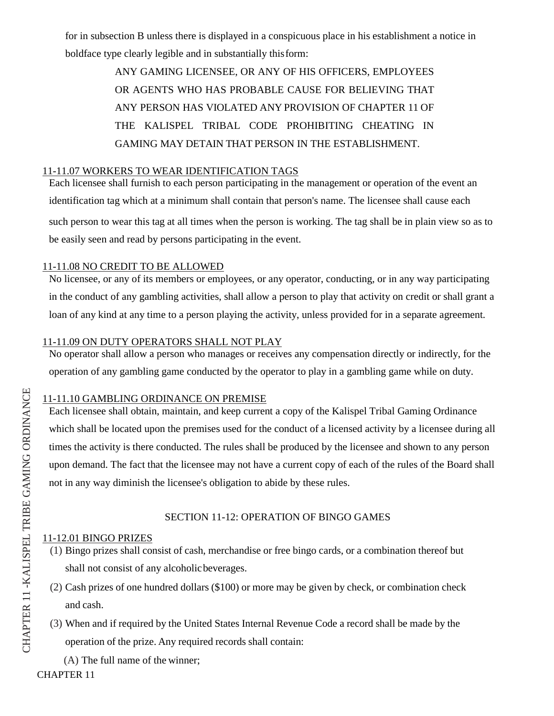for in subsection B unless there is displayed in a conspicuous place in his establishment a notice in boldface type clearly legible and in substantially this form:

> ANY GAMING LICENSEE, OR ANY OF HIS OFFICERS, EMPLOYEES OR AGENTS WHO HAS PROBABLE CAUSE FOR BELIEVING THAT ANY PERSON HAS VIOLATED ANY PROVISION OF CHAPTER 11 OF THE KALISPEL TRIBAL CODE PROHIBITING CHEATING IN GAMING MAY DETAIN THAT PERSON IN THE ESTABLISHMENT.

# 11-11.07 WORKERS TO WEAR IDENTIFICATION TAGS

Each licensee shall furnish to each person participating in the management or operation of the event an identification tag which at a minimum shall contain that person's name. The licensee shall cause each such person to wear this tag at all times when the person is working. The tag shall be in plain view so as to be easily seen and read by persons participating in the event.

### 11-11.08 NO CREDIT TO BE ALLOWED

No licensee, or any of its members or employees, or any operator, conducting, or in any way participating in the conduct of any gambling activities, shall allow a person to play that activity on credit or shall grant a loan of any kind at any time to a person playing the activity, unless provided for in a separate agreement.

### 11-11.09 ON DUTY OPERATORS SHALL NOT PLAY

No operator shall allow a person who manages or receives any compensation directly or indirectly, for the operation of any gambling game conducted by the operator to play in a gambling game while on duty.

# 11-11.10 GAMBLING ORDINANCE ON PREMISE

Each licensee shall obtain, maintain, and keep current a copy of the Kalispel Tribal Gaming Ordinance which shall be located upon the premises used for the conduct of a licensed activity by a licensee during all times the activity is there conducted. The rules shall be produced by the licensee and shown to any person upon demand. The fact that the licensee may not have a current copy of each of the rules of the Board shall not in any way diminish the licensee's obligation to abide by these rules.

# SECTION 11-12: OPERATION OF BINGO GAMES

### 11-12.01 BINGO PRIZES

- (1) Bingo prizes shall consist of cash, merchandise or free bingo cards, or a combination thereof but shall not consist of any alcoholic beverages.
- (2) Cash prizes of one hundred dollars (\$100) or more may be given by check, or combination check and cash.
- (3) When and if required by the United States Internal Revenue Code a record shall be made by the operation of the prize. Any required records shall contain:

(A) The full name of the winner;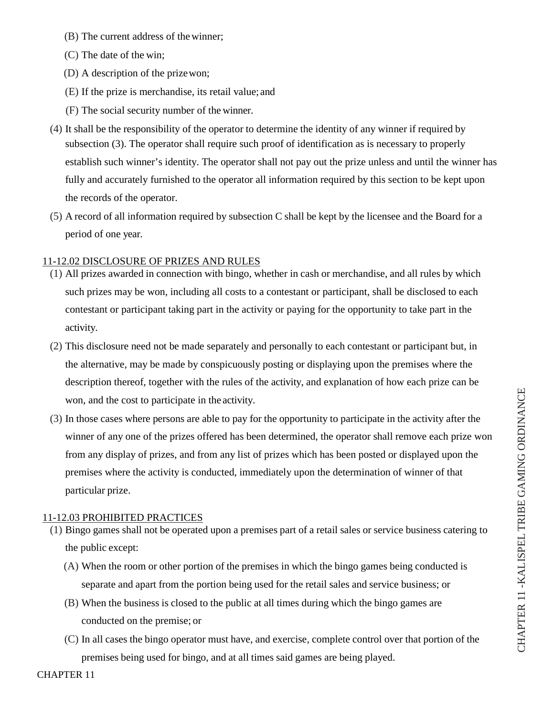- (B) The current address of the winner;
- (C) The date of the win;
- (D) A description of the prize won;
- (E) If the prize is merchandise, its retail value; and
- (F) The social security number of the winner.
- (4) It shall be the responsibility of the operator to determine the identity of any winner if required by subsection (3). The operator shall require such proof of identification as is necessary to properly establish such winner's identity. The operator shall not pay out the prize unless and until the winner has fully and accurately furnished to the operator all information required by this section to be kept upon the records of the operator.
- (5) A record of all information required by subsection C shall be kept by the licensee and the Board for a period of one year.

# 11-12.02 DISCLOSURE OF PRIZES AND RULES

- (1) All prizes awarded in connection with bingo, whether in cash or merchandise, and all rules by which such prizes may be won, including all costs to a contestant or participant, shall be disclosed to each contestant or participant taking part in the activity or paying for the opportunity to take part in the activity.
- (2) This disclosure need not be made separately and personally to each contestant or participant but, in the alternative, may be made by conspicuously posting or displaying upon the premises where the description thereof, together with the rules of the activity, and explanation of how each prize can be won, and the cost to participate in the activity.
- (3) In those cases where persons are able to pay for the opportunity to participate in the activity after the winner of any one of the prizes offered has been determined, the operator shall remove each prize won from any display of prizes, and from any list of prizes which has been posted or displayed upon the premises where the activity is conducted, immediately upon the determination of winner of that particular prize.

# 11-12.03 PROHIBITED PRACTICES

- (1) Bingo games shall not be operated upon a premises part of a retail sales or service business catering to the public except:
	- (A) When the room or other portion of the premises in which the bingo games being conducted is separate and apart from the portion being used for the retail sales and service business; or
	- (B) When the business is closed to the public at all times during which the bingo games are conducted on the premise; or
	- (C) In all cases the bingo operator must have, and exercise, complete control over that portion of the premises being used for bingo, and at all times said games are being played.

CHAP T

 $\Xi$  $\simeq$ R 11 -KA

LIS P E  $\mathord{\sqcup}$ TRIBE

GAMI  $\mathsf{Z}_1$ G

ORDINANCE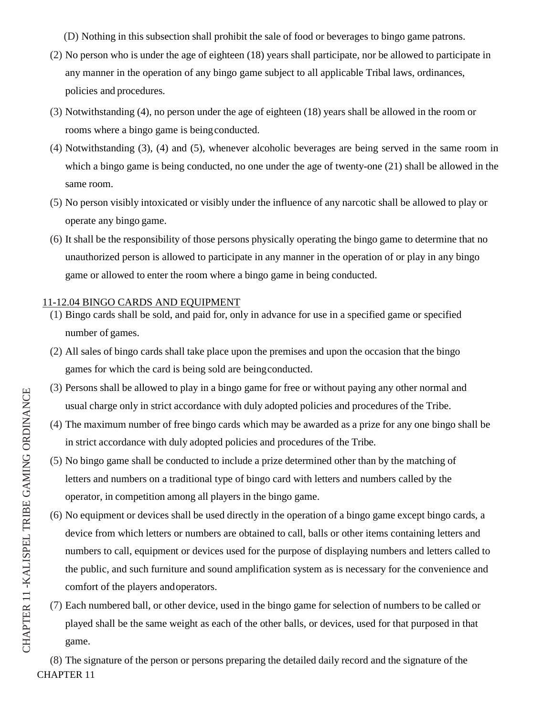- (D) Nothing in this subsection shall prohibit the sale of food or beverages to bingo game patrons.
- (2) No person who is under the age of eighteen (18) years shall participate, nor be allowed to participate in any manner in the operation of any bingo game subject to all applicable Tribal laws, ordinances, policies and procedures.
- (3) Notwithstanding (4), no person under the age of eighteen (18) years shall be allowed in the room or rooms where a bingo game is being conducted.
- (4) Notwithstanding (3), (4) and (5), whenever alcoholic beverages are being served in the same room in which a bingo game is being conducted, no one under the age of twenty-one (21) shall be allowed in the same room.
- (5) No person visibly intoxicated or visibly under the influence of any narcotic shall be allowed to play or operate any bingo game.
- (6) It shall be the responsibility of those persons physically operating the bingo game to determine that no unauthorized person is allowed to participate in any manner in the operation of or play in any bingo game or allowed to enter the room where a bingo game in being conducted.

#### 11-12.04 BINGO CARDS AND EQUIPMENT

- (1) Bingo cards shall be sold, and paid for, only in advance for use in a specified game or specified number of games.
- (2) All sales of bingo cards shall take place upon the premises and upon the occasion that the bingo games for which the card is being sold are being conducted.
- (3) Persons shall be allowed to play in a bingo game for free or without paying any other normal and usual charge only in strict accordance with duly adopted policies and procedures of the Tribe.
- (4) The maximum number of free bingo cards which may be awarded as a prize for any one bingo shall be in strict accordance with duly adopted policies and procedures of the Tribe.
- (5) No bingo game shall be conducted to include a prize determined other than by the matching of letters and numbers on a traditional type of bingo card with letters and numbers called by the operator, in competition among all players in the bingo game.
- (6) No equipment or devices shall be used directly in the operation of a bingo game except bingo cards, a device from which letters or numbers are obtained to call, balls or other items containing letters and numbers to call, equipment or devices used for the purpose of displaying numbers and letters called to the public, and such furniture and sound amplification system as is necessary for the convenience and comfort of the players and operators.
- (7) Each numbered ball, or other device, used in the bingo game for selection of numbers to be called or played shall be the same weight as each of the other balls, or devices, used for that purposed in that game.

CHAPTER 11 (8) The signature of the person or persons preparing the detailed daily record and the signature of the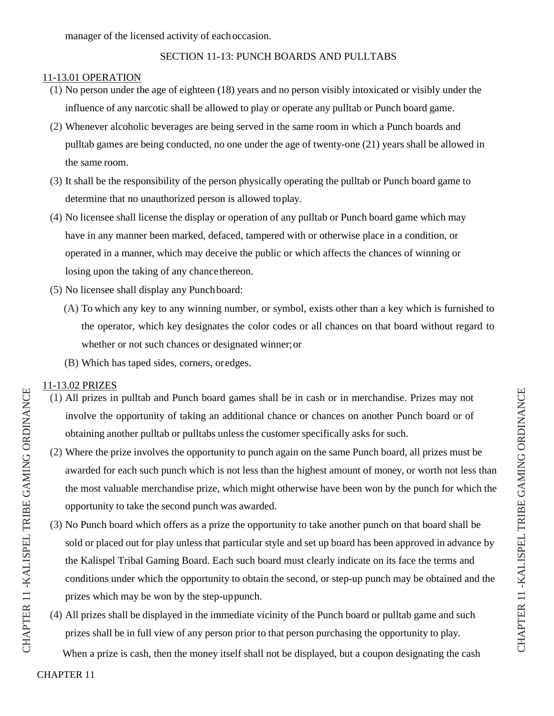# SECTION 11-13: PUNCH BOARDS AND PULLTABS

# 11-13.01 OPERATION

- (1) No person under the age of eighteen (18) years and no person visibly intoxicated or visibly under the influence of any narcotic shall be allowed to play or operate any pulltab or Punch board game.
- (2) Whenever alcoholic beverages are being served in the same room in which a Punch boards and pulltab games are being conducted, no one under the age of twenty-one (21) years shall be allowed in the same room.
- (3) It shall be the responsibility of the person physically operating the pulltab or Punch board game to determine that no unauthorized person is allowed to play.
- (4) No licensee shall license the display or operation of any pulltab or Punch board game which may have in any manner been marked, defaced, tampered with or otherwise place in a condition, or operated in a manner, which may deceive the public or which affects the chances of winning or losing upon the taking of any chance thereon.
- (5) No licensee shall display any Punch board:
	- (A) To which any key to any winning number, or symbol, exists other than a key which is furnished to the operator, which key designates the color codes or all chances on that board without regard to whether or not such chances or designated winner; or
	- (B) Which has taped sides, corners, or edges.

# 11-13.02 PRIZES

- (1) All prizes in pulltab and Punch board games shall be in cash or in merchandise. Prizes may not involve the opportunity of taking an additional chance or chances on another Punch board or of obtaining another pulltab or pulltabs unless the customer specifically asks for such.
- (2) Where the prize involves the opportunity to punch again on the same Punch board, all prizes must be awarded for each such punch which is not less than the highest amount of money, or worth not less than the most valuable merchandise prize, which might otherwise have been won by the punch for which the opportunity to take the second punch was awarded.
- (3) No Punch board which offers as a prize the opportunity to take another punch on that board shall be sold or placed out for play unless that particular style and set up board has been approved in advance by the Kalispel Tribal Gaming Board. Each such board must clearly indicate on its face the terms and conditions under which the opportunity to obtain the second, or step-up punch may be obtained and the prizes which may be won by the step-up punch.
- (4) All prizes shall be displayed in the immediate vicinity of the Punch board or pulltab game and such prizes shall be in full view of any person prior to that person purchasing the opportunity to play.<br>When a prize is cash, then the money itself shall not be displayed, but a coupon designating the cash

CHAP TER

R 11 -KA

LIS PEL

L TRIBE

GAMI  $\mathsf{Z}$ ロ

ORDINANCE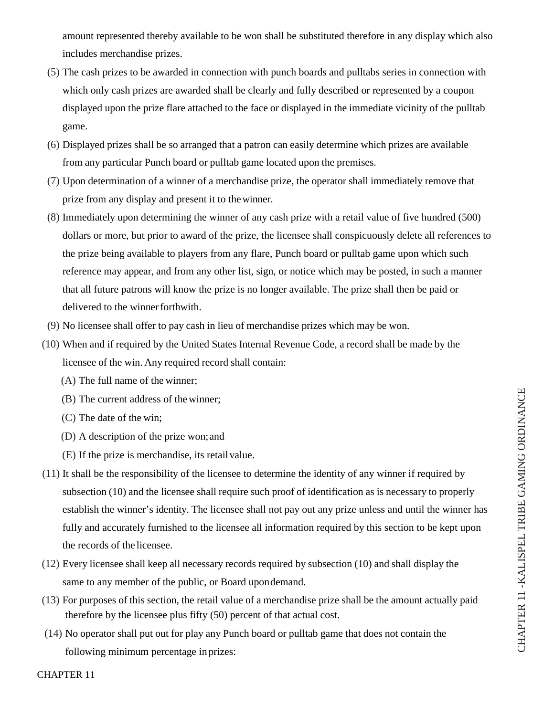amount represented thereby available to be won shall be substituted therefore in any display which also includes merchandise prizes.

- (5) The cash prizes to be awarded in connection with punch boards and pulltabs series in connection with which only cash prizes are awarded shall be clearly and fully described or represented by a coupon displayed upon the prize flare attached to the face or displayed in the immediate vicinity of the pulltab game.
- (6) Displayed prizes shall be so arranged that a patron can easily determine which prizes are available from any particular Punch board or pulltab game located upon the premises.
- (7) Upon determination of a winner of a merchandise prize, the operator shall immediately remove that prize from any display and present it to the winner.
- (8) Immediately upon determining the winner of any cash prize with a retail value of five hundred (500) dollars or more, but prior to award of the prize, the licensee shall conspicuously delete all references to the prize being available to players from any flare, Punch board or pulltab game upon which such reference may appear, and from any other list, sign, or notice which may be posted, in such a manner that all future patrons will know the prize is no longer available. The prize shall then be paid or delivered to the winner forthwith.
- (9) No licensee shall offer to pay cash in lieu of merchandise prizes which may be won.
- (10) When and if required by the United States Internal Revenue Code, a record shall be made by the licensee of the win. Any required record shall contain:
	- (A) The full name of the winner;
	- (B) The current address of the winner;
	- (C) The date of the win;
	- (D) A description of the prize won; and
	- (E) If the prize is merchandise, its retail value.
- (11) It shall be the responsibility of the licensee to determine the identity of any winner if required by subsection (10) and the licensee shall require such proof of identification as is necessary to properly establish the winner's identity. The licensee shall not pay out any prize unless and until the winner has fully and accurately furnished to the licensee all information required by this section to be kept upon the records of the licensee.
- (12) Every licensee shall keep all necessary records required by subsection (10) and shall display the same to any member of the public, or Board upon demand.
- (13) For purposes of this section, the retail value of a merchandise prize shall be the amount actually paid therefore by the licensee plus fifty (50) percent of that actual cost.
- (14) No operator shall put out for play any Punch board or pulltab game that does not contain the following minimum percentage in prizes: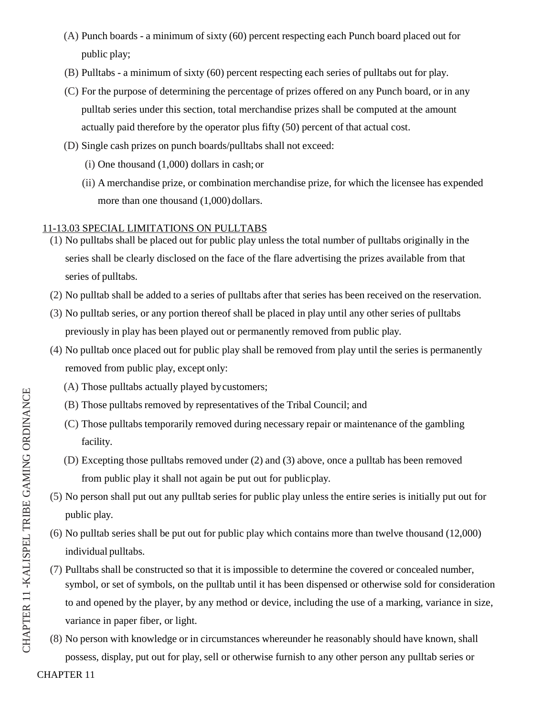- (A) Punch boards a minimum of sixty (60) percent respecting each Punch board placed out for public play;
- (B) Pulltabs a minimum of sixty (60) percent respecting each series of pulltabs out for play.
- (C) For the purpose of determining the percentage of prizes offered on any Punch board, or in any pulltab series under this section, total merchandise prizes shall be computed at the amount actually paid therefore by the operator plus fifty (50) percent of that actual cost.
- (D) Single cash prizes on punch boards/pulltabs shall not exceed:
	- (i) One thousand (1,000) dollars in cash; or
	- (ii) A merchandise prize, or combination merchandise prize, for which the licensee has expended more than one thousand (1,000) dollars.

# 11-13.03 SPECIAL LIMITATIONS ON PULLTABS

- (1) No pulltabs shall be placed out for public play unless the total number of pulltabs originally in the series shall be clearly disclosed on the face of the flare advertising the prizes available from that series of pulltabs.
- (2) No pulltab shall be added to a series of pulltabs after that series has been received on the reservation.
- (3) No pulltab series, or any portion thereof shall be placed in play until any other series of pulltabs previously in play has been played out or permanently removed from public play.
- (4) No pulltab once placed out for public play shall be removed from play until the series is permanently removed from public play, except only:
	- (A) Those pulltabs actually played by customers;
	- (B) Those pulltabs removed by representatives of the Tribal Council; and
	- (C) Those pulltabs temporarily removed during necessary repair or maintenance of the gambling facility.
	- (D) Excepting those pulltabs removed under (2) and (3) above, once a pulltab has been removed from public play it shall not again be put out for public play.
- (5) No person shall put out any pulltab series for public play unless the entire series is initially put out for public play.
- (6) No pulltab series shall be put out for public play which contains more than twelve thousand (12,000) individual pulltabs.
- (7) Pulltabs shall be constructed so that it is impossible to determine the covered or concealed number, symbol, or set of symbols, on the pulltab until it has been dispensed or otherwise sold for consideration to and opened by the player, by any method or device, including the use of a marking, variance in size, variance in paper fiber, or light.
- (8) No person with knowledge or in circumstances whereunder he reasonably should have known, shall possess, display, put out for play, sell or otherwise furnish to any other person any pulltab series or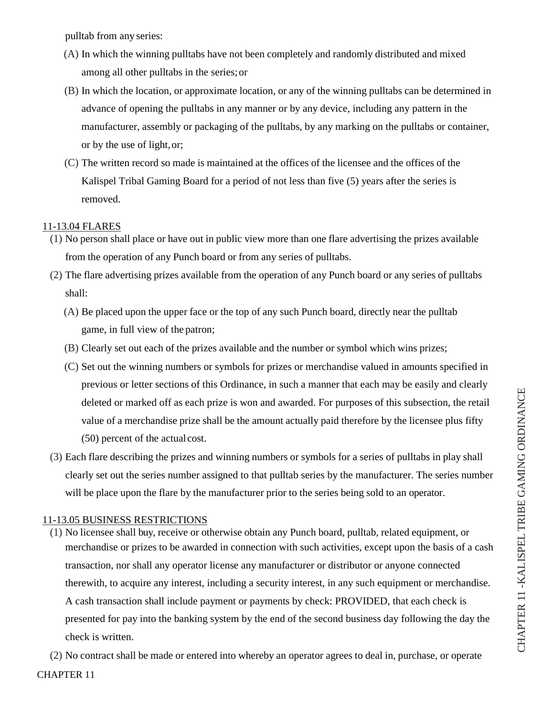pulltab from any series:

- (A) In which the winning pulltabs have not been completely and randomly distributed and mixed among all other pulltabs in the series; or
- (B) In which the location, or approximate location, or any of the winning pulltabs can be determined in advance of opening the pulltabs in any manner or by any device, including any pattern in the manufacturer, assembly or packaging of the pulltabs, by any marking on the pulltabs or container, or by the use of light, or;
- (C) The written record so made is maintained at the offices of the licensee and the offices of the Kalispel Tribal Gaming Board for a period of not less than five (5) years after the series is removed.

# 11-13.04 FLARES

- (1) No person shall place or have out in public view more than one flare advertising the prizes available from the operation of any Punch board or from any series of pulltabs.
- (2) The flare advertising prizes available from the operation of any Punch board or any series of pulltabs shall:
	- (A) Be placed upon the upper face or the top of any such Punch board, directly near the pulltab game, in full view of the patron;
	- (B) Clearly set out each of the prizes available and the number or symbol which wins prizes;
	- (C) Set out the winning numbers or symbols for prizes or merchandise valued in amounts specified in previous or letter sections of this Ordinance, in such a manner that each may be easily and clearly deleted or marked off as each prize is won and awarded. For purposes of this subsection, the retail value of a merchandise prize shall be the amount actually paid therefore by the licensee plus fifty (50) percent of the actual cost.
- (3) Each flare describing the prizes and winning numbers or symbols for a series of pulltabs in play shall clearly set out the series number assigned to that pulltab series by the manufacturer. The series number will be place upon the flare by the manufacturer prior to the series being sold to an operator.

# 11-13.05 BUSINESS RESTRICTIONS

(1) No licensee shall buy, receive or otherwise obtain any Punch board, pulltab, related equipment, or merchandise or prizes to be awarded in connection with such activities, except upon the basis of a cash transaction, nor shall any operator license any manufacturer or distributor or anyone connected therewith, to acquire any interest, including a security interest, in any such equipment or merchandise. A cash transaction shall include payment or payments by check: PROVIDED, that each check is presented for pay into the banking system by the end of the second business day following the day the check is written.

CHAPTER 11 (2) No contract shall be made or entered into whereby an operator agrees to deal in, purchase, or operate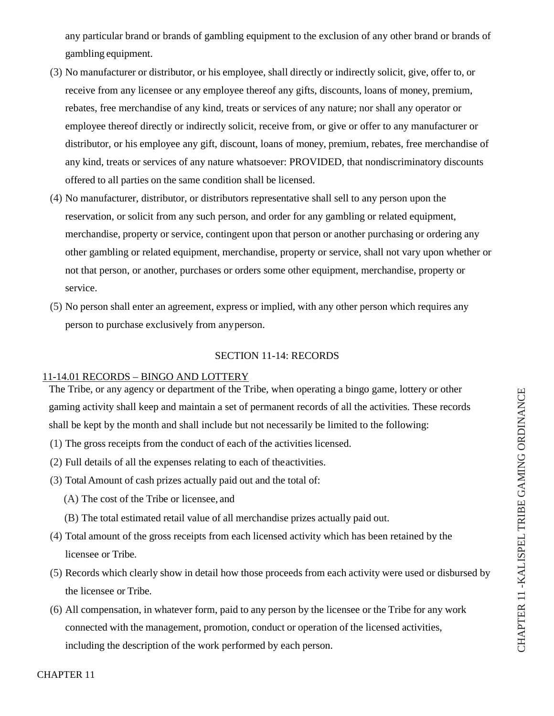any particular brand or brands of gambling equipment to the exclusion of any other brand or brands of gambling equipment.

- (3) No manufacturer or distributor, or his employee, shall directly or indirectly solicit, give, offer to, or receive from any licensee or any employee thereof any gifts, discounts, loans of money, premium, rebates, free merchandise of any kind, treats or services of any nature; nor shall any operator or employee thereof directly or indirectly solicit, receive from, or give or offer to any manufacturer or distributor, or his employee any gift, discount, loans of money, premium, rebates, free merchandise of any kind, treats or services of any nature whatsoever: PROVIDED, that nondiscriminatory discounts offered to all parties on the same condition shall be licensed.
- (4) No manufacturer, distributor, or distributors representative shall sell to any person upon the reservation, or solicit from any such person, and order for any gambling or related equipment, merchandise, property or service, contingent upon that person or another purchasing or ordering any other gambling or related equipment, merchandise, property or service, shall not vary upon whether or not that person, or another, purchases or orders some other equipment, merchandise, property or service.
- (5) No person shall enter an agreement, express or implied, with any other person which requires any person to purchase exclusively from any person.

### SECTION 11-14: RECORDS

#### 11-14.01 RECORDS – BINGO AND LOTTERY

The Tribe, or any agency or department of the Tribe, when operating a bingo game, lottery or other gaming activity shall keep and maintain a set of permanent records of all the activities. These records shall be kept by the month and shall include but not necessarily be limited to the following:

- (1) The gross receipts from the conduct of each of the activities licensed.
- (2) Full details of all the expenses relating to each of theactivities.
- (3) Total Amount of cash prizes actually paid out and the total of:
	- (A) The cost of the Tribe or licensee, and
	- (B) The total estimated retail value of all merchandise prizes actually paid out.
- (4) Total amount of the gross receipts from each licensed activity which has been retained by the licensee or Tribe.
- (5) Records which clearly show in detail how those proceeds from each activity were used or disbursed by the licensee or Tribe.
- (6) All compensation, in whatever form, paid to any person by the licensee or the Tribe for any work connected with the management, promotion, conduct or operation of the licensed activities, including the description of the work performed by each person.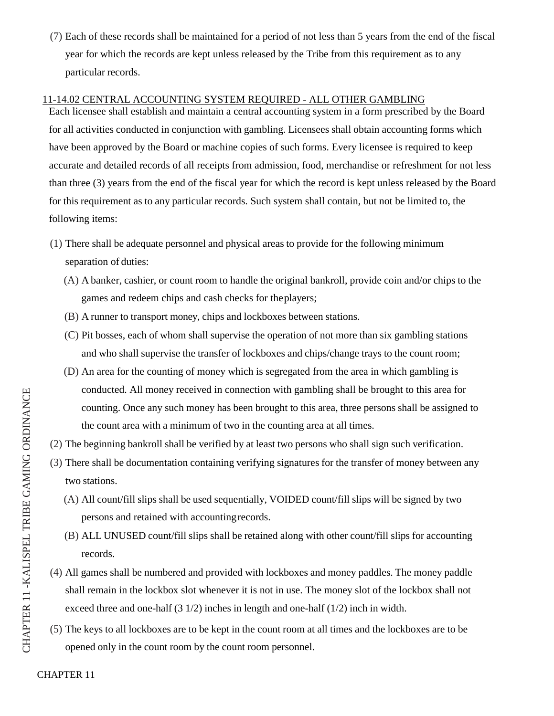(7) Each of these records shall be maintained for a period of not less than 5 years from the end of the fiscal year for which the records are kept unless released by the Tribe from this requirement as to any particular records.

### 11-14.02 CENTRAL ACCOUNTING SYSTEM REQUIRED - ALL OTHER GAMBLING

Each licensee shall establish and maintain a central accounting system in a form prescribed by the Board for all activities conducted in conjunction with gambling. Licensees shall obtain accounting forms which have been approved by the Board or machine copies of such forms. Every licensee is required to keep accurate and detailed records of all receipts from admission, food, merchandise or refreshment for not less than three (3) years from the end of the fiscal year for which the record is kept unless released by the Board for this requirement as to any particular records. Such system shall contain, but not be limited to, the following items:

- (1) There shall be adequate personnel and physical areas to provide for the following minimum separation of duties:
	- (A) A banker, cashier, or count room to handle the original bankroll, provide coin and/or chips to the games and redeem chips and cash checks for the players;
	- (B) A runner to transport money, chips and lockboxes between stations.
	- (C) Pit bosses, each of whom shall supervise the operation of not more than six gambling stations and who shall supervise the transfer of lockboxes and chips/change trays to the count room;
	- (D) An area for the counting of money which is segregated from the area in which gambling is conducted. All money received in connection with gambling shall be brought to this area for counting. Once any such money has been brought to this area, three persons shall be assigned to the count area with a minimum of two in the counting area at all times.
- (2) The beginning bankroll shall be verified by at least two persons who shall sign such verification.
- (3) There shall be documentation containing verifying signatures for the transfer of money between any two stations.
	- (A) All count/fill slips shall be used sequentially, VOIDED count/fill slips will be signed by two persons and retained with accounting records.
	- (B) ALL UNUSED count/fill slips shall be retained along with other count/fill slips for accounting records.
- (4) All games shall be numbered and provided with lockboxes and money paddles. The money paddle shall remain in the lockbox slot whenever it is not in use. The money slot of the lockbox shall not exceed three and one-half (3 1/2) inches in length and one-half (1/2) inch in width.
- (5) The keys to all lockboxes are to be kept in the count room at all times and the lockboxes are to be opened only in the count room by the count room personnel.

CHAPTER 11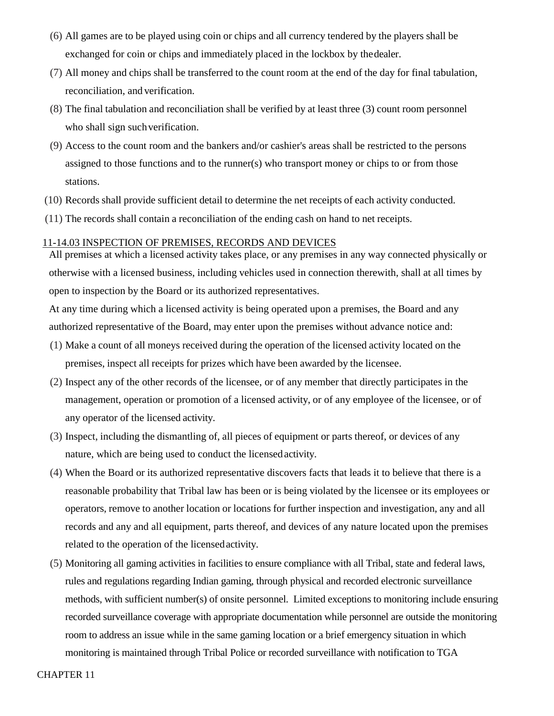- (6) All games are to be played using coin or chips and all currency tendered by the players shall be exchanged for coin or chips and immediately placed in the lockbox by the dealer.
- (7) All money and chips shall be transferred to the count room at the end of the day for final tabulation, reconciliation, and verification.
- (8) The final tabulation and reconciliation shall be verified by at least three (3) count room personnel who shall sign such verification.
- (9) Access to the count room and the bankers and/or cashier's areas shall be restricted to the persons assigned to those functions and to the runner(s) who transport money or chips to or from those stations.
- (10) Records shall provide sufficient detail to determine the net receipts of each activity conducted.
- (11) The records shall contain a reconciliation of the ending cash on hand to net receipts.

#### 11-14.03 INSPECTION OF PREMISES, RECORDS AND DEVICES

All premises at which a licensed activity takes place, or any premises in any way connected physically or otherwise with a licensed business, including vehicles used in connection therewith, shall at all times by open to inspection by the Board or its authorized representatives.

At any time during which a licensed activity is being operated upon a premises, the Board and any authorized representative of the Board, may enter upon the premises without advance notice and:

- (1) Make a count of all moneys received during the operation of the licensed activity located on the premises, inspect all receipts for prizes which have been awarded by the licensee.
- (2) Inspect any of the other records of the licensee, or of any member that directly participates in the management, operation or promotion of a licensed activity, or of any employee of the licensee, or of any operator of the licensed activity.
- (3) Inspect, including the dismantling of, all pieces of equipment or parts thereof, or devices of any nature, which are being used to conduct the licensed activity.
- (4) When the Board or its authorized representative discovers facts that leads it to believe that there is a reasonable probability that Tribal law has been or is being violated by the licensee or its employees or operators, remove to another location or locations for further inspection and investigation, any and all records and any and all equipment, parts thereof, and devices of any nature located upon the premises related to the operation of the licensed activity.
- (5) Monitoring all gaming activities in facilities to ensure compliance with all Tribal, state and federal laws, rules and regulations regarding Indian gaming, through physical and recorded electronic surveillance methods, with sufficient number(s) of onsite personnel. Limited exceptions to monitoring include ensuring recorded surveillance coverage with appropriate documentation while personnel are outside the monitoring room to address an issue while in the same gaming location or a brief emergency situation in which monitoring is maintained through Tribal Police or recorded surveillance with notification to TGA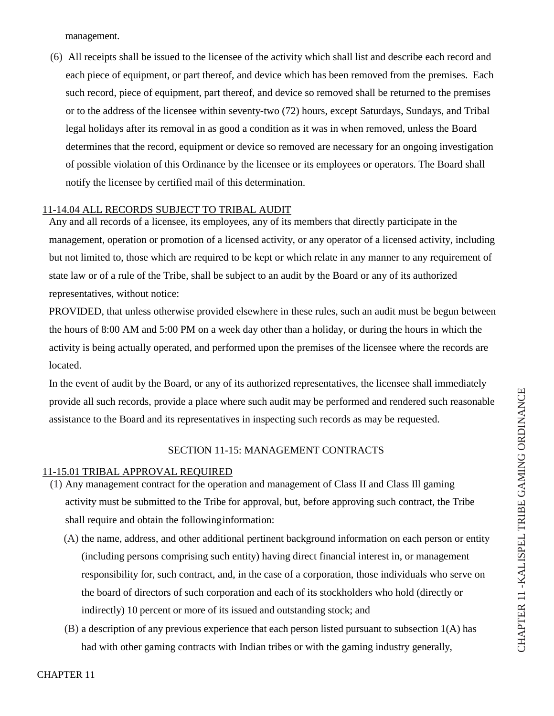management.

(6) All receipts shall be issued to the licensee of the activity which shall list and describe each record and each piece of equipment, or part thereof, and device which has been removed from the premises. Each such record, piece of equipment, part thereof, and device so removed shall be returned to the premises or to the address of the licensee within seventy-two (72) hours, except Saturdays, Sundays, and Tribal legal holidays after its removal in as good a condition as it was in when removed, unless the Board determines that the record, equipment or device so removed are necessary for an ongoing investigation of possible violation of this Ordinance by the licensee or its employees or operators. The Board shall notify the licensee by certified mail of this determination.

### 11-14.04 ALL RECORDS SUBJECT TO TRIBAL AUDIT

Any and all records of a licensee, its employees, any of its members that directly participate in the management, operation or promotion of a licensed activity, or any operator of a licensed activity, including but not limited to, those which are required to be kept or which relate in any manner to any requirement of state law or of a rule of the Tribe, shall be subject to an audit by the Board or any of its authorized representatives, without notice:

PROVIDED, that unless otherwise provided elsewhere in these rules, such an audit must be begun between the hours of 8:00 AM and 5:00 PM on a week day other than a holiday, or during the hours in which the activity is being actually operated, and performed upon the premises of the licensee where the records are located.

In the event of audit by the Board, or any of its authorized representatives, the licensee shall immediately provide all such records, provide a place where such audit may be performed and rendered such reasonable assistance to the Board and its representatives in inspecting such records as may be requested.

# SECTION 11-15: MANAGEMENT CONTRACTS

#### 11-15.01 TRIBAL APPROVAL REQUIRED

- (1) Any management contract for the operation and management of Class II and Class Ill gaming activity must be submitted to the Tribe for approval, but, before approving such contract, the Tribe shall require and obtain the following information:
	- (A) the name, address, and other additional pertinent background information on each person or entity (including persons comprising such entity) having direct financial interest in, or management responsibility for, such contract, and, in the case of a corporation, those individuals who serve on the board of directors of such corporation and each of its stockholders who hold (directly or indirectly) 10 percent or more of its issued and outstanding stock; and
	- (B) a description of any previous experience that each person listed pursuant to subsection 1(A) has had with other gaming contracts with Indian tribes or with the gaming industry generally,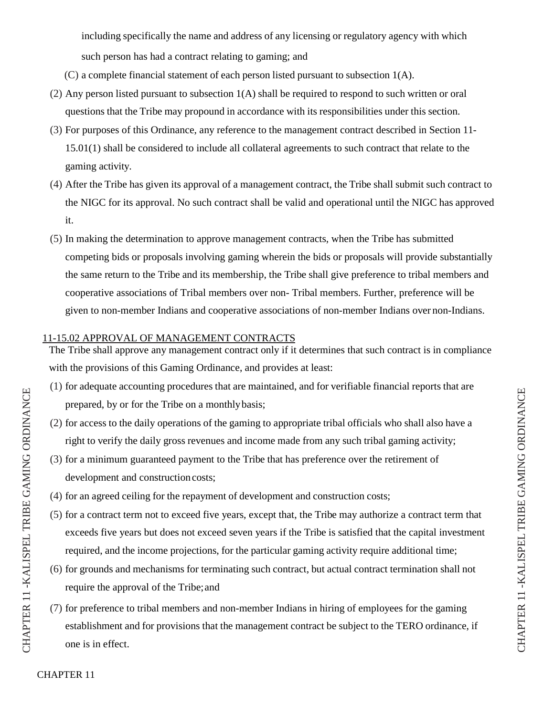including specifically the name and address of any licensing or regulatory agency with which such person has had a contract relating to gaming; and

- (C) a complete financial statement of each person listed pursuant to subsection 1(A).
- (2) Any person listed pursuant to subsection 1(A) shall be required to respond to such written or oral questions that the Tribe may propound in accordance with its responsibilities under this section.
- (3) For purposes of this Ordinance, any reference to the management contract described in Section 11- 15.01(1) shall be considered to include all collateral agreements to such contract that relate to the gaming activity.
- (4) After the Tribe has given its approval of a management contract, the Tribe shall submit such contract to the NIGC for its approval. No such contract shall be valid and operational until the NIGC has approved it.
- (5) In making the determination to approve management contracts, when the Tribe has submitted competing bids or proposals involving gaming wherein the bids or proposals will provide substantially the same return to the Tribe and its membership, the Tribe shall give preference to tribal members and cooperative associations of Tribal members over non- Tribal members. Further, preference will be given to non-member Indians and cooperative associations of non-member Indians over non-Indians.

# 11-15.02 APPROVAL OF MANAGEMENT CONTRACTS

The Tribe shall approve any management contract only if it determines that such contract is in compliance with the provisions of this Gaming Ordinance, and provides at least:

- (1) for adequate accounting procedures that are maintained, and for verifiable financial reports that are prepared, by or for the Tribe on a monthly basis;
- (2) for access to the daily operations of the gaming to appropriate tribal officials who shall also have a right to verify the daily gross revenues and income made from any such tribal gaming activity;
- (3) for a minimum guaranteed payment to the Tribe that has preference over the retirement of development and construction costs;
- (4) for an agreed ceiling for the repayment of development and construction costs;
- (5) for a contract term not to exceed five years, except that, the Tribe may authorize a contract term that exceeds five years but does not exceed seven years if the Tribe is satisfied that the capital investment required, and the income projections, for the particular gaming activity require additional time;
- (6) for grounds and mechanisms for terminating such contract, but actual contract termination shall not require the approval of the Tribe; and
- (7) for preference to tribal members and non-member Indians in hiring of employees for the gaming establishment and for provisions that the management contract be subject to the TERO ordinance, if one is in effect.

CHAP T

 $\Xi$  $\simeq$ R 11 - KA

LIS P E  $\mathord{\hspace{1pt}\text{--}\hspace{1pt}}$ TRIBE

GAMI  $\mathsf{Z}_1$ G

ORDINANCE

CHAPTER 11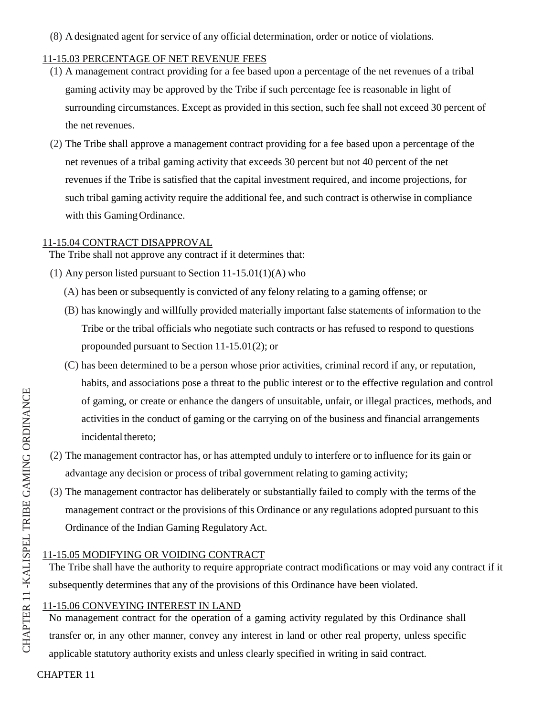(8) A designated agent for service of any official determination, order or notice of violations.

# 11-15.03 PERCENTAGE OF NET REVENUE FEES

- (1) A management contract providing for a fee based upon a percentage of the net revenues of a tribal gaming activity may be approved by the Tribe if such percentage fee is reasonable in light of surrounding circumstances. Except as provided in this section, such fee shall not exceed 30 percent of the net revenues.
- (2) The Tribe shall approve a management contract providing for a fee based upon a percentage of the net revenues of a tribal gaming activity that exceeds 30 percent but not 40 percent of the net revenues if the Tribe is satisfied that the capital investment required, and income projections, for such tribal gaming activity require the additional fee, and such contract is otherwise in compliance with this Gaming Ordinance.

#### 11-15.04 CONTRACT DISAPPROVAL

The Tribe shall not approve any contract if it determines that:

- (1) Any person listed pursuant to Section 11-15.01(1)(A) who
	- (A) has been or subsequently is convicted of any felony relating to a gaming offense; or
	- (B) has knowingly and willfully provided materially important false statements of information to the Tribe or the tribal officials who negotiate such contracts or has refused to respond to questions propounded pursuant to Section 11-15.01(2); or
	- (C) has been determined to be a person whose prior activities, criminal record if any, or reputation, habits, and associations pose a threat to the public interest or to the effective regulation and control of gaming, or create or enhance the dangers of unsuitable, unfair, or illegal practices, methods, and activities in the conduct of gaming or the carrying on of the business and financial arrangements incidental thereto;
- (2) The management contractor has, or has attempted unduly to interfere or to influence for its gain or advantage any decision or process of tribal government relating to gaming activity;
- (3) The management contractor has deliberately or substantially failed to comply with the terms of the management contract or the provisions of this Ordinance or any regulations adopted pursuant to this Ordinance of the Indian Gaming Regulatory Act.

#### 11-15.05 MODIFYING OR VOIDING CONTRACT

The Tribe shall have the authority to require appropriate contract modifications or may void any contract if it subsequently determines that any of the provisions of this Ordinance have been violated.

#### 11-15.06 CONVEYING INTEREST IN LAND

No management contract for the operation of a gaming activity regulated by this Ordinance shall transfer or, in any other manner, convey any interest in land or other real property, unless specific applicable statutory authority exists and unless clearly specified in writing in said contract.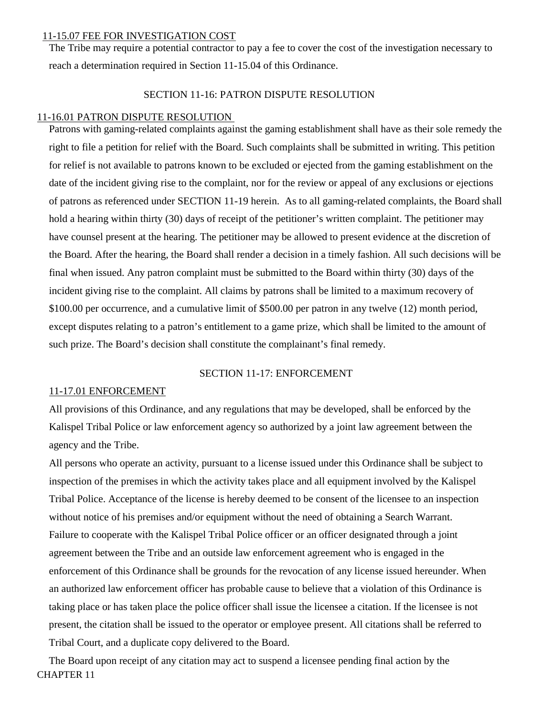#### 11-15.07 FEE FOR INVESTIGATION COST

The Tribe may require a potential contractor to pay a fee to cover the cost of the investigation necessary to reach a determination required in Section 11-15.04 of this Ordinance.

# SECTION 11-16: PATRON DISPUTE RESOLUTION

#### 11-16.01 PATRON DISPUTE RESOLUTION

Patrons with gaming-related complaints against the gaming establishment shall have as their sole remedy the right to file a petition for relief with the Board. Such complaints shall be submitted in writing. This petition for relief is not available to patrons known to be excluded or ejected from the gaming establishment on the date of the incident giving rise to the complaint, nor for the review or appeal of any exclusions or ejections of patrons as referenced under SECTION 11-19 herein. As to all gaming-related complaints, the Board shall hold a hearing within thirty (30) days of receipt of the petitioner's written complaint. The petitioner may have counsel present at the hearing. The petitioner may be allowed to present evidence at the discretion of the Board. After the hearing, the Board shall render a decision in a timely fashion. All such decisions will be final when issued. Any patron complaint must be submitted to the Board within thirty (30) days of the incident giving rise to the complaint. All claims by patrons shall be limited to a maximum recovery of \$100.00 per occurrence, and a cumulative limit of \$500.00 per patron in any twelve (12) month period, except disputes relating to a patron's entitlement to a game prize, which shall be limited to the amount of such prize. The Board's decision shall constitute the complainant's final remedy.

#### SECTION 11-17: ENFORCEMENT

#### 11-17.01 ENFORCEMENT

All provisions of this Ordinance, and any regulations that may be developed, shall be enforced by the Kalispel Tribal Police or law enforcement agency so authorized by a joint law agreement between the agency and the Tribe.

All persons who operate an activity, pursuant to a license issued under this Ordinance shall be subject to inspection of the premises in which the activity takes place and all equipment involved by the Kalispel Tribal Police. Acceptance of the license is hereby deemed to be consent of the licensee to an inspection without notice of his premises and/or equipment without the need of obtaining a Search Warrant. Failure to cooperate with the Kalispel Tribal Police officer or an officer designated through a joint agreement between the Tribe and an outside law enforcement agreement who is engaged in the enforcement of this Ordinance shall be grounds for the revocation of any license issued hereunder. When an authorized law enforcement officer has probable cause to believe that a violation of this Ordinance is taking place or has taken place the police officer shall issue the licensee a citation. If the licensee is not present, the citation shall be issued to the operator or employee present. All citations shall be referred to Tribal Court, and a duplicate copy delivered to the Board.

CHAPTER 11 The Board upon receipt of any citation may act to suspend a licensee pending final action by the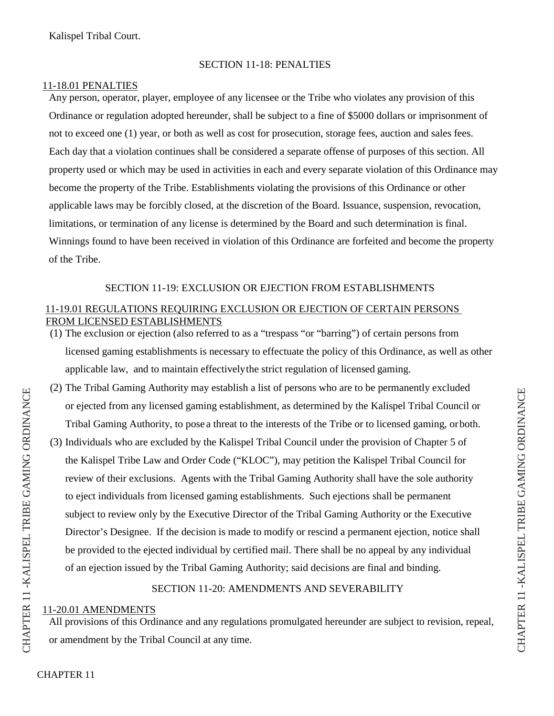Kalispel Tribal Court.

# SECTION 11-18: PENALTIES

### 11-18.01 PENALTIES

Any person, operator, player, employee of any licensee or the Tribe who violates any provision of this Ordinance or regulation adopted hereunder, shall be subject to a fine of \$5000 dollars or imprisonment of not to exceed one (1) year, or both as well as cost for prosecution, storage fees, auction and sales fees. Each day that a violation continues shall be considered a separate offense of purposes of this section. All property used or which may be used in activities in each and every separate violation of this Ordinance may become the property of the Tribe. Establishments violating the provisions of this Ordinance or other applicable laws may be forcibly closed, at the discretion of the Board. Issuance, suspension, revocation, limitations, or termination of any license is determined by the Board and such determination is final. Winnings found to have been received in violation of this Ordinance are forfeited and become the property of the Tribe.

# SECTION 11-19: EXCLUSION OR EJECTION FROM ESTABLISHMENTS

# 11-19.01 REGULATIONS REQUIRING EXCLUSION OR EJECTION OF CERTAIN PERSONS FROM LICENSED ESTABLISHMENTS

- (1) The exclusion or ejection (also referred to as a "trespass "or "barring") of certain persons from licensed gaming establishments is necessary to effectuate the policy of this Ordinance, as well as other applicable law, and to maintain effectivelythe strict regulation of licensed gaming.
- (2) The Tribal Gaming Authority may establish a list of persons who are to be permanently excluded or ejected from any licensed gaming establishment, as determined by the Kalispel Tribal Council or Tribal Gaming Authority, to pose a threat to the interests of the Tribe or to licensed gaming, or both.
- (3) Individuals who are excluded by the Kalispel Tribal Council under the provision of Chapter 5 of the Kalispel Tribe Law and Order Code ("KLOC"), may petition the Kalispel Tribal Council for review of their exclusions. Agents with the Tribal Gaming Authority shall have the sole authority to eject individuals from licensed gaming establishments. Such ejections shall be permanent subject to review only by the Executive Director of the Tribal Gaming Authority or the Executive Director's Designee. If the decision is made to modify or rescind a permanent ejection, notice shall be provided to the ejected individual by certified mail. There shall be no appeal by any individual of an ejection issued by the Tribal Gaming Authority; said decisions are final and binding.

# SECTION 11-20: AMENDMENTS AND SEVERABILITY

# 11-20.01 AMENDMENTS

All provisions of this Ordinance and any regulations promulgated hereunder are subject to revision, repeal, or amendment by the Tribal Council at any time.

CHAP T

 $\Xi$  $\simeq$ R 11 - KA

LIS P E  $\mathord{\hspace{1pt}\text{--}\hspace{1pt}}$ TRIBE

GAMI  $\mathsf{Z}_1$ G

ORDINANCE